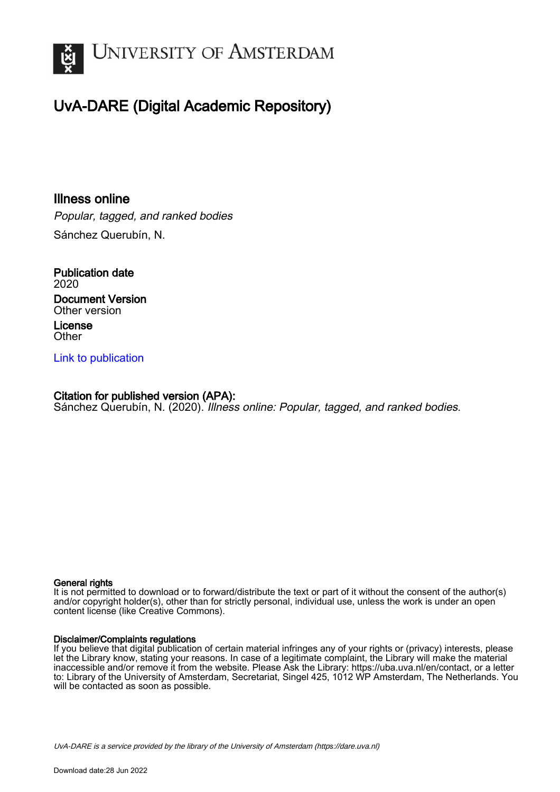

## UvA-DARE (Digital Academic Repository)

### Illness online

Popular, tagged, and ranked bodies Sánchez Querubín, N.

Publication date 2020 Document Version Other version License **Other** 

### [Link to publication](https://dare.uva.nl/personal/pure/en/publications/illness-online(23bcb1e2-6eca-4cf4-9c65-9a4c58c0dc09).html)

#### Citation for published version (APA):

Sánchez Querubín, N. (2020). Illness online: Popular, tagged, and ranked bodies.

#### General rights

It is not permitted to download or to forward/distribute the text or part of it without the consent of the author(s) and/or copyright holder(s), other than for strictly personal, individual use, unless the work is under an open content license (like Creative Commons).

#### Disclaimer/Complaints regulations

If you believe that digital publication of certain material infringes any of your rights or (privacy) interests, please let the Library know, stating your reasons. In case of a legitimate complaint, the Library will make the material inaccessible and/or remove it from the website. Please Ask the Library: https://uba.uva.nl/en/contact, or a letter to: Library of the University of Amsterdam, Secretariat, Singel 425, 1012 WP Amsterdam, The Netherlands. You will be contacted as soon as possible.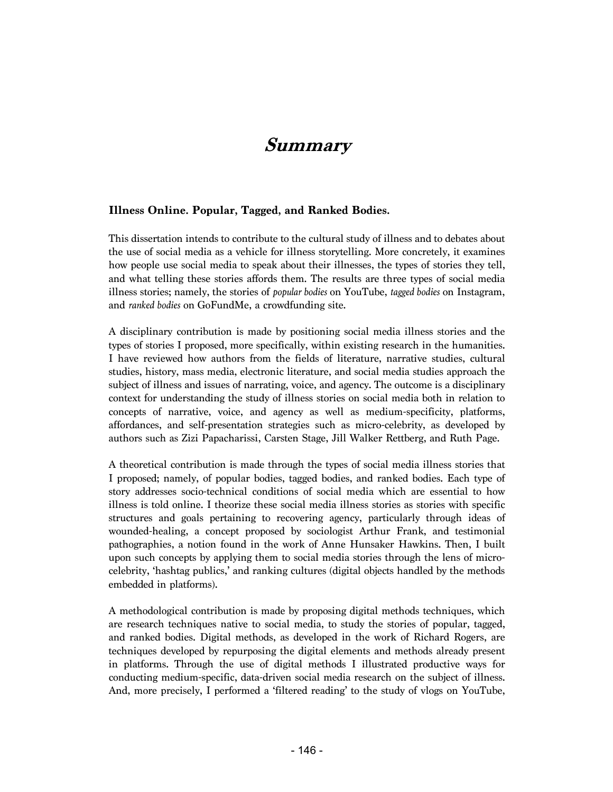## **Summary**

#### **Illness Online. Popular, Tagged, and Ranked Bodies.**

This dissertation intends to contribute to the cultural study of illness and to debates about the use of social media as a vehicle for illness storytelling. More concretely, it examines how people use social media to speak about their illnesses, the types of stories they tell, and what telling these stories affords them. The results are three types of social media illness stories; namely, the stories of *popular bodies* on YouTube, *tagged bodies* on Instagram, and *ranked bodies* on GoFundMe, a crowdfunding site.

A disciplinary contribution is made by positioning social media illness stories and the types of stories I proposed, more specifically, within existing research in the humanities. I have reviewed how authors from the fields of literature, narrative studies, cultural studies, history, mass media, electronic literature, and social media studies approach the subject of illness and issues of narrating, voice, and agency. The outcome is a disciplinary context for understanding the study of illness stories on social media both in relation to concepts of narrative, voice, and agency as well as medium-specificity, platforms, affordances, and self-presentation strategies such as micro-celebrity, as developed by authors such as Zizi Papacharissi, Carsten Stage, Jill Walker Rettberg, and Ruth Page.

A theoretical contribution is made through the types of social media illness stories that I proposed; namely, of popular bodies, tagged bodies, and ranked bodies. Each type of story addresses socio-technical conditions of social media which are essential to how illness is told online. I theorize these social media illness stories as stories with specific structures and goals pertaining to recovering agency, particularly through ideas of wounded-healing, a concept proposed by sociologist Arthur Frank, and testimonial pathographies, a notion found in the work of Anne Hunsaker Hawkins. Then, I built upon such concepts by applying them to social media stories through the lens of microcelebrity, 'hashtag publics,' and ranking cultures (digital objects handled by the methods embedded in platforms).

A methodological contribution is made by proposing digital methods techniques, which are research techniques native to social media, to study the stories of popular, tagged, and ranked bodies. Digital methods, as developed in the work of Richard Rogers, are techniques developed by repurposing the digital elements and methods already present in platforms. Through the use of digital methods I illustrated productive ways for conducting medium-specific, data-driven social media research on the subject of illness. And, more precisely, I performed a 'filtered reading' to the study of vlogs on YouTube,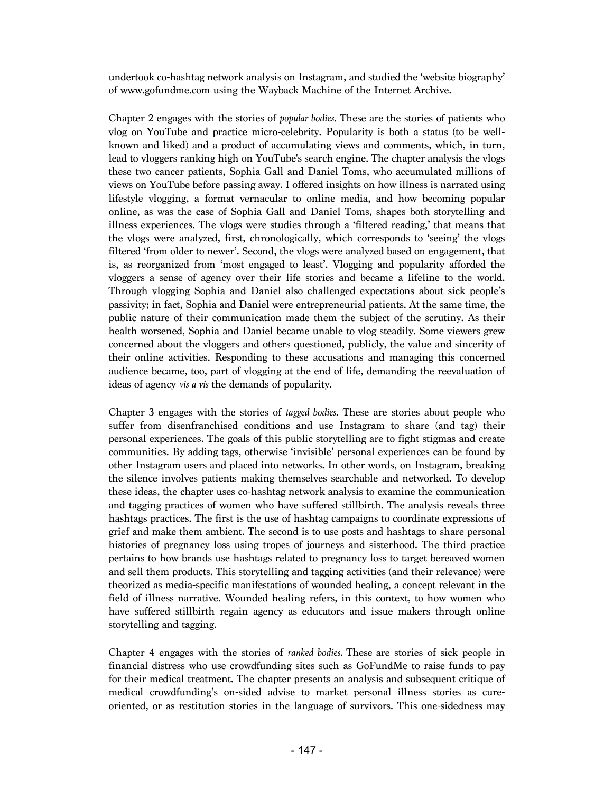undertook co-hashtag network analysis on Instagram, and studied the 'website biography' of www.gofundme.com using the Wayback Machine of the Internet Archive.

Chapter 2 engages with the stories of *popular bodies*. These are the stories of patients who vlog on YouTube and practice micro-celebrity. Popularity is both a status (to be wellknown and liked) and a product of accumulating views and comments, which, in turn, lead to vloggers ranking high on YouTube's search engine. The chapter analysis the vlogs these two cancer patients, Sophia Gall and Daniel Toms, who accumulated millions of views on YouTube before passing away. I offered insights on how illness is narrated using lifestyle vlogging, a format vernacular to online media, and how becoming popular online, as was the case of Sophia Gall and Daniel Toms, shapes both storytelling and illness experiences. The vlogs were studies through a 'filtered reading,' that means that the vlogs were analyzed, first, chronologically, which corresponds to 'seeing' the vlogs filtered 'from older to newer'. Second, the vlogs were analyzed based on engagement, that is, as reorganized from 'most engaged to least'. Vlogging and popularity afforded the vloggers a sense of agency over their life stories and became a lifeline to the world. Through vlogging Sophia and Daniel also challenged expectations about sick people's passivity; in fact, Sophia and Daniel were entrepreneurial patients. At the same time, the public nature of their communication made them the subject of the scrutiny. As their health worsened, Sophia and Daniel became unable to vlog steadily. Some viewers grew concerned about the vloggers and others questioned, publicly, the value and sincerity of their online activities. Responding to these accusations and managing this concerned audience became, too, part of vlogging at the end of life, demanding the reevaluation of ideas of agency *vis a vis* the demands of popularity.

Chapter 3 engages with the stories of *tagged bodies*. These are stories about people who suffer from disenfranchised conditions and use Instagram to share (and tag) their personal experiences. The goals of this public storytelling are to fight stigmas and create communities. By adding tags, otherwise 'invisible' personal experiences can be found by other Instagram users and placed into networks. In other words, on Instagram, breaking the silence involves patients making themselves searchable and networked. To develop these ideas, the chapter uses co-hashtag network analysis to examine the communication and tagging practices of women who have suffered stillbirth. The analysis reveals three hashtags practices. The first is the use of hashtag campaigns to coordinate expressions of grief and make them ambient. The second is to use posts and hashtags to share personal histories of pregnancy loss using tropes of journeys and sisterhood. The third practice pertains to how brands use hashtags related to pregnancy loss to target bereaved women and sell them products. This storytelling and tagging activities (and their relevance) were theorized as media-specific manifestations of wounded healing, a concept relevant in the field of illness narrative. Wounded healing refers, in this context, to how women who have suffered stillbirth regain agency as educators and issue makers through online storytelling and tagging.

Chapter 4 engages with the stories of *ranked bodies.* These are stories of sick people in financial distress who use crowdfunding sites such as GoFundMe to raise funds to pay for their medical treatment. The chapter presents an analysis and subsequent critique of medical crowdfunding's on-sided advise to market personal illness stories as cureoriented, or as restitution stories in the language of survivors. This one-sidedness may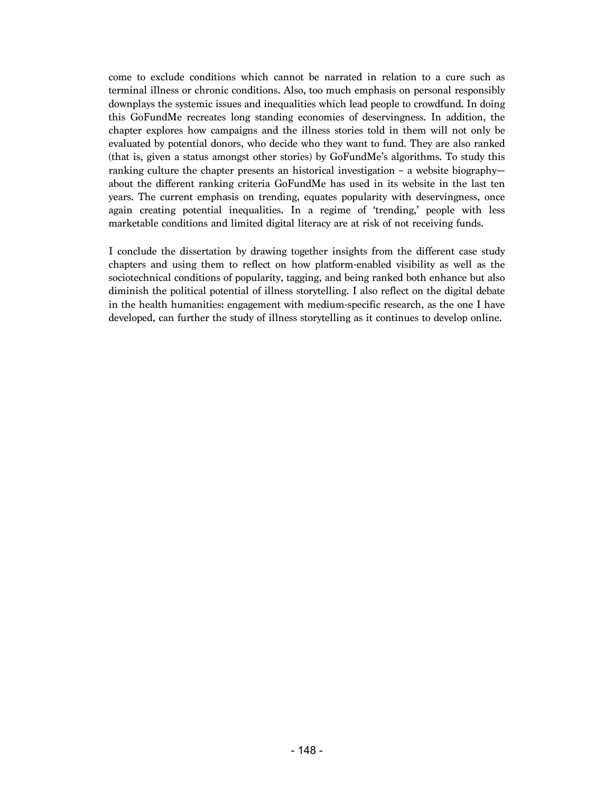come to exclude conditions which cannot be narrated in relation to a cure such as terminal illness or chronic conditions. Also, too much emphasis on personal responsibly downplays the systemic issues and inequalities which lead people to crowdfund. In doing this GoFundMe recreates long standing economies of deservingness. In addition, the chapter explores how campaigns and the illness stories told in them will not only be evaluated by potential donors, who decide who they want to fund. They are also ranked (that is, given a status amongst other stories) by GoFundMe's algorithms. To study this ranking culture the chapter presents an historical investigation – a website biography about the different ranking criteria GoFundMe has used in its website in the last ten years. The current emphasis on trending, equates popularity with deservingness, once again creating potential inequalities. In a regime of 'trending,' people with less marketable conditions and limited digital literacy are at risk of not receiving funds.

I conclude the dissertation by drawing together insights from the different case study chapters and using them to reflect on how platform-enabled visibility as well as the sociotechnical conditions of popularity, tagging, and being ranked both enhance but also diminish the political potential of illness storytelling. I also reflect on the digital debate in the health humanities: engagement with medium-specific research, as the one I have developed, can further the study of illness storytelling as it continues to develop online.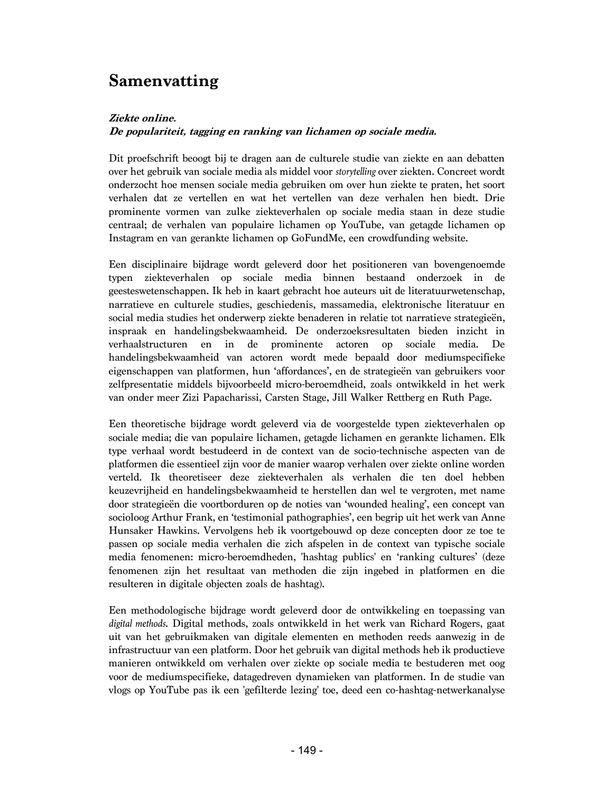# **Samenvatting**

### **Ziekte online.**

### **De populariteit, tagging en ranking van lichamen op sociale media.**

Dit proefschrift beoogt bij te dragen aan de culturele studie van ziekte en aan debatten over het gebruik van sociale media als middel voor *storytelling* over ziekten. Concreet wordt onderzocht hoe mensen sociale media gebruiken om over hun ziekte te praten, het soort verhalen dat ze vertellen en wat het vertellen van deze verhalen hen biedt. Drie prominente vormen van zulke ziekteverhalen op sociale media staan in deze studie centraal; de verhalen van populaire lichamen op YouTube, van getagde lichamen op Instagram en van gerankte lichamen op GoFundMe, een crowdfunding website.

Een disciplinaire bijdrage wordt geleverd door het positioneren van bovengenoemde typen ziekteverhalen op sociale media binnen bestaand onderzoek in de geesteswetenschappen. Ik heb in kaart gebracht hoe auteurs uit de literatuurwetenschap, narratieve en culturele studies, geschiedenis, massamedia, elektronische literatuur en social media studies het onderwerp ziekte benaderen in relatie tot narratieve strategieën, inspraak en handelingsbekwaamheid. De onderzoeksresultaten bieden inzicht in verhaalstructuren en in de prominente actoren op sociale media. De handelingsbekwaamheid van actoren wordt mede bepaald door mediumspecifieke eigenschappen van platformen, hun 'affordances', en de strategieën van gebruikers voor zelfpresentatie middels bijvoorbeeld micro-beroemdheid, zoals ontwikkeld in het werk van onder meer Zizi Papacharissi, Carsten Stage, Jill Walker Rettberg en Ruth Page.

Een theoretische bijdrage wordt geleverd via de voorgestelde typen ziekteverhalen op sociale media; die van populaire lichamen, getagde lichamen en gerankte lichamen. Elk type verhaal wordt bestudeerd in de context van de socio-technische aspecten van de platformen die essentieel zijn voor de manier waarop verhalen over ziekte online worden verteld. Ik theoretiseer deze ziekteverhalen als verhalen die ten doel hebben keuzevrijheid en handelingsbekwaamheid te herstellen dan wel te vergroten, met name door strategieën die voortborduren op de noties van 'wounded healing', een concept van socioloog Arthur Frank, en 'testimonial pathographies', een begrip uit het werk van Anne Hunsaker Hawkins. Vervolgens heb ik voortgebouwd op deze concepten door ze toe te passen op sociale media verhalen die zich afspelen in de context van typische sociale media fenomenen: micro-beroemdheden, 'hashtag publics' en 'ranking cultures' (deze fenomenen zijn het resultaat van methoden die zijn ingebed in platformen en die resulteren in digitale objecten zoals de hashtag).

Een methodologische bijdrage wordt geleverd door de ontwikkeling en toepassing van *digital methods*. Digital methods, zoals ontwikkeld in het werk van Richard Rogers, gaat uit van het gebruikmaken van digitale elementen en methoden reeds aanwezig in de infrastructuur van een platform. Door het gebruik van digital methods heb ik productieve manieren ontwikkeld om verhalen over ziekte op sociale media te bestuderen met oog voor de mediumspecifieke, datagedreven dynamieken van platformen. In de studie van vlogs op YouTube pas ik een 'gefilterde lezing' toe, deed een co-hashtag-netwerkanalyse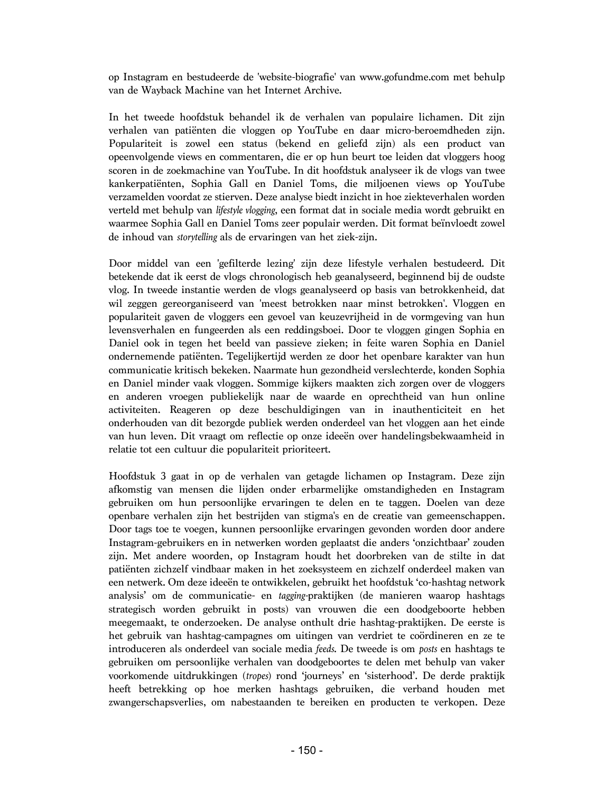op Instagram en bestudeerde de 'website-biografie' van www.gofundme.com met behulp van de Wayback Machine van het Internet Archive.

In het tweede hoofdstuk behandel ik de verhalen van populaire lichamen. Dit zijn verhalen van patiënten die vloggen op YouTube en daar micro-beroemdheden zijn. Populariteit is zowel een status (bekend en geliefd zijn) als een product van opeenvolgende views en commentaren, die er op hun beurt toe leiden dat vloggers hoog scoren in de zoekmachine van YouTube. In dit hoofdstuk analyseer ik de vlogs van twee kankerpatiënten, Sophia Gall en Daniel Toms, die miljoenen views op YouTube verzamelden voordat ze stierven. Deze analyse biedt inzicht in hoe ziekteverhalen worden verteld met behulp van *lifestyle vlogging*, een format dat in sociale media wordt gebruikt en waarmee Sophia Gall en Daniel Toms zeer populair werden. Dit format beïnvloedt zowel de inhoud van *storytelling* als de ervaringen van het ziek-zijn.

Door middel van een 'gefilterde lezing' zijn deze lifestyle verhalen bestudeerd. Dit betekende dat ik eerst de vlogs chronologisch heb geanalyseerd, beginnend bij de oudste vlog. In tweede instantie werden de vlogs geanalyseerd op basis van betrokkenheid, dat wil zeggen gereorganiseerd van 'meest betrokken naar minst betrokken'. Vloggen en populariteit gaven de vloggers een gevoel van keuzevrijheid in de vormgeving van hun levensverhalen en fungeerden als een reddingsboei. Door te vloggen gingen Sophia en Daniel ook in tegen het beeld van passieve zieken; in feite waren Sophia en Daniel ondernemende patiënten. Tegelijkertijd werden ze door het openbare karakter van hun communicatie kritisch bekeken. Naarmate hun gezondheid verslechterde, konden Sophia en Daniel minder vaak vloggen. Sommige kijkers maakten zich zorgen over de vloggers en anderen vroegen publiekelijk naar de waarde en oprechtheid van hun online activiteiten. Reageren op deze beschuldigingen van in inauthenticiteit en het onderhouden van dit bezorgde publiek werden onderdeel van het vloggen aan het einde van hun leven. Dit vraagt om reflectie op onze ideeën over handelingsbekwaamheid in relatie tot een cultuur die populariteit prioriteert.

Hoofdstuk 3 gaat in op de verhalen van getagde lichamen op Instagram. Deze zijn afkomstig van mensen die lijden onder erbarmelijke omstandigheden en Instagram gebruiken om hun persoonlijke ervaringen te delen en te taggen. Doelen van deze openbare verhalen zijn het bestrijden van stigma's en de creatie van gemeenschappen. Door tags toe te voegen, kunnen persoonlijke ervaringen gevonden worden door andere Instagram-gebruikers en in netwerken worden geplaatst die anders 'onzichtbaar' zouden zijn. Met andere woorden, op Instagram houdt het doorbreken van de stilte in dat patiënten zichzelf vindbaar maken in het zoeksysteem en zichzelf onderdeel maken van een netwerk. Om deze ideeën te ontwikkelen, gebruikt het hoofdstuk 'co-hashtag network analysis' om de communicatie- en *tagging-*praktijken (de manieren waarop hashtags strategisch worden gebruikt in posts) van vrouwen die een doodgeboorte hebben meegemaakt, te onderzoeken. De analyse onthult drie hashtag-praktijken. De eerste is het gebruik van hashtag-campagnes om uitingen van verdriet te coördineren en ze te introduceren als onderdeel van sociale media *feeds*. De tweede is om *posts* en hashtags te gebruiken om persoonlijke verhalen van doodgeboortes te delen met behulp van vaker voorkomende uitdrukkingen (*tropes*) rond 'journeys' en 'sisterhood'. De derde praktijk heeft betrekking op hoe merken hashtags gebruiken, die verband houden met zwangerschapsverlies, om nabestaanden te bereiken en producten te verkopen. Deze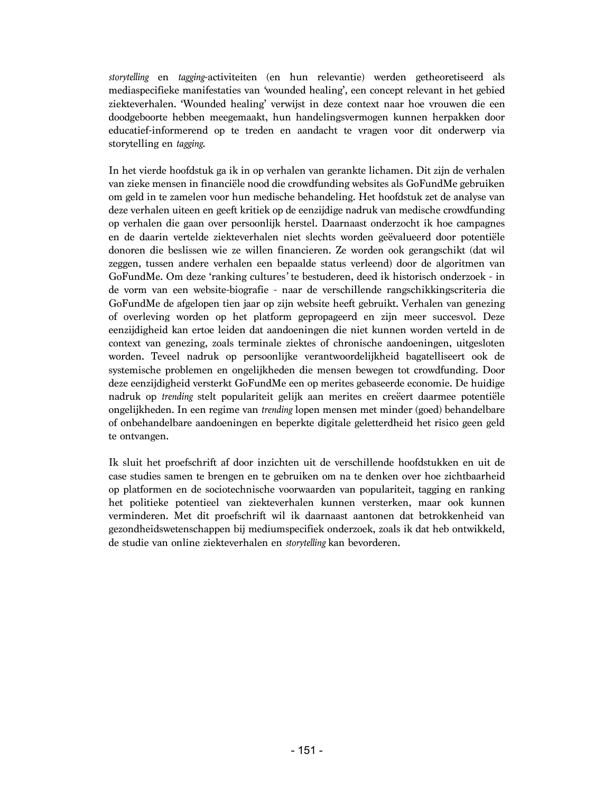*storytelling* en *tagging*-activiteiten (en hun relevantie) werden getheoretiseerd als mediaspecifieke manifestaties van *'*wounded healing', een concept relevant in het gebied ziekteverhalen. 'Wounded healing' verwijst in deze context naar hoe vrouwen die een doodgeboorte hebben meegemaakt, hun handelingsvermogen kunnen herpakken door educatief-informerend op te treden en aandacht te vragen voor dit onderwerp via storytelling en *tagging*.

In het vierde hoofdstuk ga ik in op verhalen van gerankte lichamen. Dit zijn de verhalen van zieke mensen in financiële nood die crowdfunding websites als GoFundMe gebruiken om geld in te zamelen voor hun medische behandeling. Het hoofdstuk zet de analyse van deze verhalen uiteen en geeft kritiek op de eenzijdige nadruk van medische crowdfunding op verhalen die gaan over persoonlijk herstel. Daarnaast onderzocht ik hoe campagnes en de daarin vertelde ziekteverhalen niet slechts worden geëvalueerd door potentiële donoren die beslissen wie ze willen financieren. Ze worden ook gerangschikt (dat wil zeggen, tussen andere verhalen een bepaalde status verleend) door de algoritmen van GoFundMe. Om deze 'ranking cultures*'* te bestuderen, deed ik historisch onderzoek - in de vorm van een website-biografie - naar de verschillende rangschikkingscriteria die GoFundMe de afgelopen tien jaar op zijn website heeft gebruikt. Verhalen van genezing of overleving worden op het platform gepropageerd en zijn meer succesvol. Deze eenzijdigheid kan ertoe leiden dat aandoeningen die niet kunnen worden verteld in de context van genezing, zoals terminale ziektes of chronische aandoeningen, uitgesloten worden. Teveel nadruk op persoonlijke verantwoordelijkheid bagatelliseert ook de systemische problemen en ongelijkheden die mensen bewegen tot crowdfunding. Door deze eenzijdigheid versterkt GoFundMe een op merites gebaseerde economie. De huidige nadruk op *trending* stelt populariteit gelijk aan merites en creëert daarmee potentiële ongelijkheden. In een regime van *trending* lopen mensen met minder (goed) behandelbare of onbehandelbare aandoeningen en beperkte digitale geletterdheid het risico geen geld te ontvangen.

Ik sluit het proefschrift af door inzichten uit de verschillende hoofdstukken en uit de case studies samen te brengen en te gebruiken om na te denken over hoe zichtbaarheid op platformen en de sociotechnische voorwaarden van populariteit, tagging en ranking het politieke potentieel van ziekteverhalen kunnen versterken, maar ook kunnen verminderen. Met dit proefschrift wil ik daarnaast aantonen dat betrokkenheid van gezondheidswetenschappen bij mediumspecifiek onderzoek, zoals ik dat heb ontwikkeld, de studie van online ziekteverhalen en *storytelling* kan bevorderen.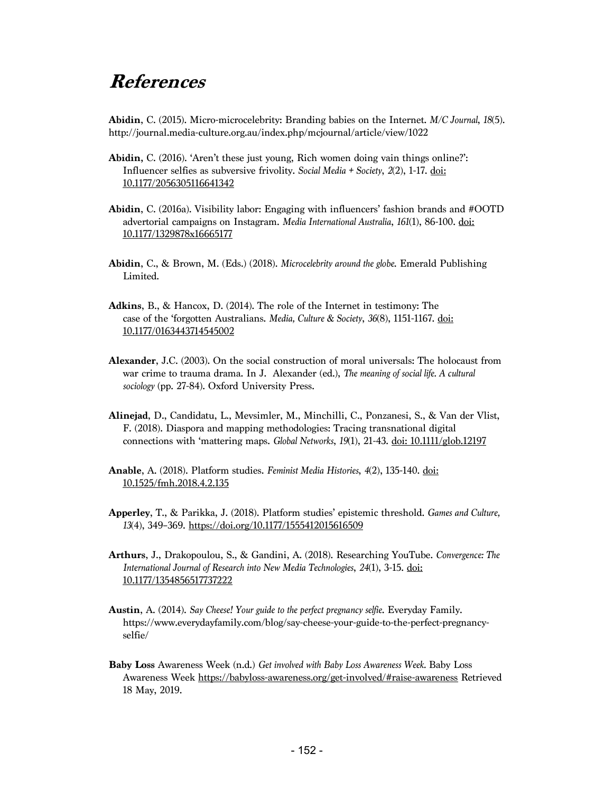# **References**

**Abidin**, C. (2015). Micromicrocelebrity: Branding babies on the Internet. *M/C Journal*, *18*(5). http://journal.media-culture.org.au/index.php/mcjournal/article/view/1022

- **Abidin,** C. (2016). 'Aren't these just young, Rich women doing vain things online?': Influencer selfies as subversive frivolity. *Social Media + Society*, *2*(2), 1-17. doi: 10.1177/2056305116641342
- **Abidin**, C. (2016a). Visibility labor: Engaging with influencers' fashion brands and #OOTD advertorial campaigns on Instagram. *Media International Australia*, *161*(1), 86-100. doi: 10.1177/1329878x16665177
- **Abidin**, C., & Brown, M. (Eds.) (2018). *Microcelebrity around the globe*. Emerald Publishing Limited.
- **Adkins**, B., & Hancox, D. (2014). The role of the Internet in testimony: The case of the 'forgotten Australians. *Media, Culture & Society*, *36*(8), 1151-1167. doi: 10.1177/0163443714545002
- **Alexander**, J.C. (2003). On the social construction of moral universals: The holocaust from war crime to trauma drama. In J. Alexander (ed.), *The meaning of social life. A cultural sociology* (pp. 27-84). Oxford University Press.
- **Alinejad**, D., Candidatu, L., Mevsimler, M., Minchilli, C., Ponzanesi, S., & Van der Vlist, F. (2018). Diaspora and mapping methodologies: Tracing transnational digital connections with 'mattering maps. *Global Networks*, *19*(1), 21-43. doi: 10.1111/glob.12197
- **Anable**, A. (2018). Platform studies. *Feminist Media Histories*, *4*(2), 135-140. doi: 10.1525/fmh.2018.4.2.135
- **Apperley**, T., & Parikka, J. (2018). Platform studies' epistemic threshold. *Games and Culture, 13*(4), 349–369. https://doi.org/10.1177/1555412015616509
- **Arthurs**, J., Drakopoulou, S., & Gandini, A. (2018). Researching YouTube. *Convergence: The International Journal of Research into New Media Technologies*, *24*(1), 3-15. doi: 10.1177/1354856517737222
- **Austin**, A. (2014). *Say Cheese! Your guide to the perfect pregnancy selfie*. Everyday Family. https://www.everydayfamily.com/blog/say-cheese-your-guide-to-the-perfect-pregnancyselfie/
- **Baby Loss** Awareness Week (n.d.) *Get involved with Baby Loss Awareness Week.* Baby Loss Awareness Week https://babyloss-awareness.org/get-involved/#raise-awareness Retrieved 18 May, 2019.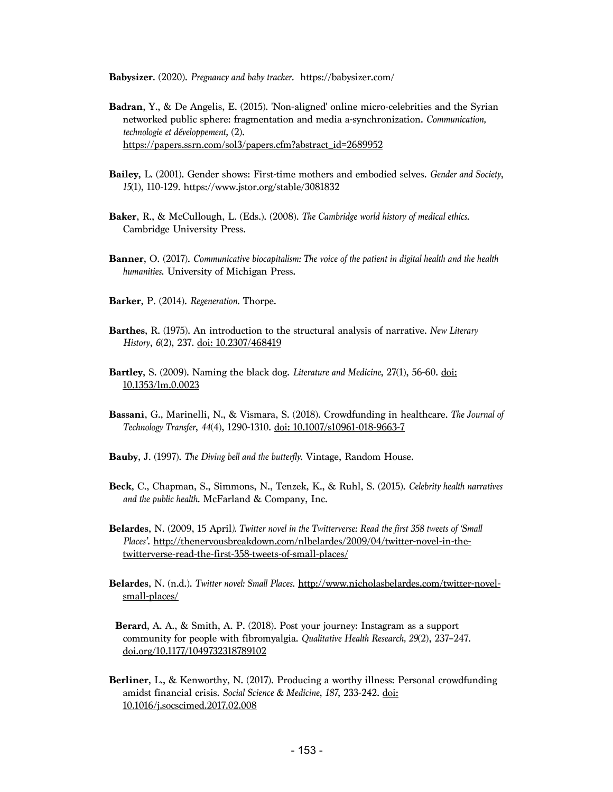**Babysizer**. (2020). *Pregnancy and baby tracker.* https://babysizer.com/

- **Badran**, Y., & De Angelis, E. (2015). 'Non-aligned' online micro-celebrities and the Syrian networked public sphere: fragmentation and media a-synchronization. *Communication, technologie et développement,* (2). https://papers.ssrn.com/sol3/papers.cfm?abstract\_id=2689952
- **Bailey,** L. (2001). Gender shows: First-time mothers and embodied selves. *Gender and Society*, *15*(1), 110-129. https://www.jstor.org/stable/3081832
- **Baker**, R., & McCullough, L. (Eds.). (2008). *The Cambridge world history of medical ethics*. Cambridge University Press.
- **Banner**, O. (2017). *Communicative biocapitalism: The voice of the patient in digital health and the health humanities*. University of Michigan Press.
- **Barker**, P. (2014). *Regeneration*. Thorpe.
- **Barthes**, R. (1975). An introduction to the structural analysis of narrative. *New Literary History*, *6*(2), 237. doi: 10.2307/468419
- **Bartley**, S. (2009). Naming the black dog. *Literature and Medicine*, 27(1), 56-60. doi: 10.1353/lm.0.0023
- **Bassani**, G., Marinelli, N., & Vismara, S. (2018). Crowdfunding in healthcare. *The Journal of Technology Transfer*, *44*(4), 1290-1310. doi: 10.1007/s10961-018-9663-7
- **Bauby**, J. (1997). *The Diving bell and the butterfly*. Vintage, Random House.
- **Beck**, C., Chapman, S., Simmons, N., Tenzek, K., & Ruhl, S. (2015). *Celebrity health narratives and the public health*. McFarland & Company, Inc.
- **Belardes**, N. (2009, 15 April*). Twitter novel in the Twitterverse: Read the first 358 tweets of 'Small Places'*. http://thenervousbreakdown.com/nlbelardes/2009/04/twitter-novel-in-thetwitterverse-read-the-first-358-tweets-of-small-places/
- **Belardes**, N. (n.d.). *Twitter novel: Small Places*. http://www.nicholasbelardes.com/twitter-novelsmall-places/
- **Berard**, A. A., & Smith, A. P. (2018). Post your journey: Instagram as a support community for people with fibromyalgia. *Qualitative Health Research, 29*(2), 237–247. doi.org/10.1177/1049732318789102
- **Berliner**, L., & Kenworthy, N. (2017). Producing a worthy illness: Personal crowdfunding amidst financial crisis. *Social Science & Medicine*, *187*, 233-242. doi: 10.1016/j.socscimed.2017.02.008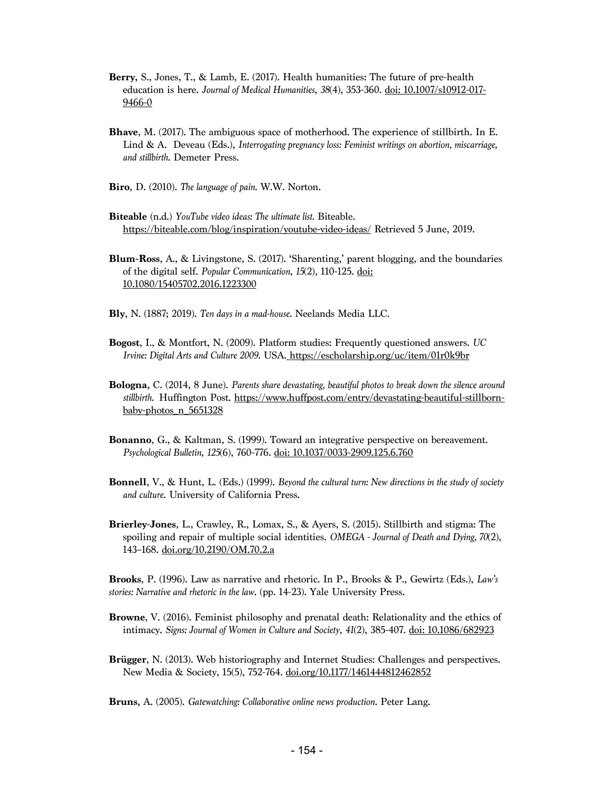- **Berry,** S., Jones, T., & Lamb, E. (2017). Health humanities: The future of pre-health education is here. *Journal of Medical Humanities*, *38*(4), 353-360. doi: 10.1007/s10912-017- 9466-0
- **Bhave**, M. (2017). The ambiguous space of motherhood. The experience of stillbirth. In E. Lind & A. Deveau (Eds.), *Interrogating pregnancy loss: Feminist writings on abortion, miscarriage, and stillbirth*. Demeter Press.
- **Biro**, D. (2010). *The language of pain*. W.W. Norton.
- **Biteable** (n.d.) *YouTube video ideas: The ultimate list.* Biteable. https://biteable.com/blog/inspiration/youtube-video-ideas/ Retrieved 5 June, 2019.
- **Blum-Ross**, A., & Livingstone, S. (2017). 'Sharenting,' parent blogging, and the boundaries of the digital self. *Popular Communication*, *15*(2), 110-125. doi: 10.1080/15405702.2016.1223300
- **Bly**, N. (1887; 2019). *Ten days in a mad-house*. Neelands Media LLC.
- **Bogost**, I., & Montfort, N. (2009). Platform studies: Frequently questioned answers. *UC Irvine: Digital Arts and Culture 2009.* USA. https://escholarship.org/uc/item/01r0k9br
- **Bologna,** C. (2014, 8 June). *Parents share devastating, beautiful photos to break down the silence around stillbirth.* Huffington Post. https://www.huffpost.com/entry/devastating-beautiful-stillbornbaby-photos\_n\_5651328
- **Bonanno**, G., & Kaltman, S. (1999). Toward an integrative perspective on bereavement. *Psychological Bulletin*, *125*(6), 760-776. doi: 10.1037/0033-2909.125.6.760
- **Bonnell**, V., & Hunt, L. (Eds.) (1999). *Beyond the cultural turn: New directions in the study of society and culture*. University of California Press.
- **Brierley-Jones**, L., Crawley, R., Lomax, S., & Ayers, S. (2015). Stillbirth and stigma: The spoiling and repair of multiple social identities. *OMEGA - Journal of Death and Dying, 70*(2), 143–168. doi.org/10.2190/OM.70.2.a

**Brooks**, P. (1996). Law as narrative and rhetoric. In P., Brooks & P., Gewirtz (Eds.), *Law's stories: Narrative and rhetoric in the law*. (pp. 14-23). Yale University Press.

- **Browne**, V. (2016). Feminist philosophy and prenatal death: Relationality and the ethics of intimacy. *Signs: Journal of Women in Culture and Society*, *41*(2), 385-407. doi: 10.1086/682923
- **Brügger**, N. (2013). Web historiography and Internet Studies: Challenges and perspectives. New Media & Society, 15(5), 752-764. <u>doi.org/10.1177/1461444812462852</u>

**Bruns,** A. (2005). *Gatewatching: Collaborative online news production*. Peter Lang.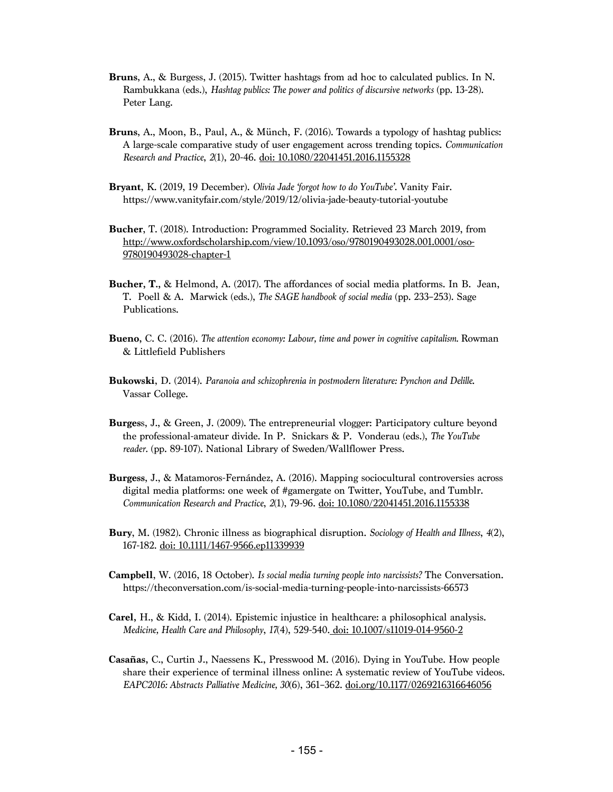- **Bruns**, A., & Burgess, J. (2015). Twitter hashtags from ad hoc to calculated publics. In N. Rambukkana (eds.), *Hashtag publics: The power and politics of discursive networks* (pp. 13-28). Peter Lang.
- **Bruns**, A., Moon, B., Paul, A., & Münch, F. (2016). Towards a typology of hashtag publics: A large-scale comparative study of user engagement across trending topics. *Communication Research and Practice*, *2*(1), 20-46. doi: 10.1080/22041451.2016.1155328
- **Bryant**, K. (2019, 19 December). *Olivia Jade 'forgot how to do YouTube'*. Vanity Fair. https://www.vanityfair.com/style/2019/12/olivia-jade-beauty-tutorial-youtube
- **Bucher**, T. (2018). Introduction: Programmed Sociality. Retrieved 23 March 2019, from http://www.oxfordscholarship.com/view/10.1093/oso/9780190493028.001.0001/oso-9780190493028-chapter-1
- **Bucher, T.,** & Helmond, A. (2017). The affordances of social media platforms. In B. Jean, T. Poell & A. Marwick (eds.), *The SAGE handbook of social media* (pp. 233–253). Sage Publications.
- **Bueno,** C. C. (2016). *The attention economy: Labour, time and power in cognitive capitalism.* Rowman & Littlefield Publishers
- **Bukowski**, D. (2014). *Paranoia and schizophrenia in postmodern literature: Pynchon and Delille*. Vassar College.
- **Burges**s, J., & Green, J. (2009). The entrepreneurial vlogger: Participatory culture beyond the professional-amateur divide. In P. Snickars & P. Vonderau (eds.), *The YouTube reader.* (pp. 89-107). National Library of Sweden/Wallflower Press.
- **Burgess**, J., & Matamoros-Fernández, A. (2016). Mapping sociocultural controversies across digital media platforms: one week of #gamergate on Twitter, YouTube, and Tumblr. *Communication Research and Practice*, *2*(1), 79-96. doi: 10.1080/22041451.2016.1155338
- **Bury**, M. (1982). Chronic illness as biographical disruption. *Sociology of Health and Illness*, *4*(2), 167-182. doi: 10.1111/1467-9566.ep11339939
- **Campbell**, W. (2016, 18 October). *Is social media turning people into narcissists?* The Conversation. https://theconversation.com/is-social-media-turning-people-into-narcissists-66573
- **Carel,** H., & Kidd, I. (2014). Epistemic injustice in healthcare: a philosophical analysis. *Medicine, Health Care and Philosophy*, *17*(4), 529-540. doi: 10.1007/s11019-014-9560-2
- **Casañas,** C., Curtin J., Naessens K., Presswood M. (2016). Dying in YouTube. How people share their experience of terminal illness online: A systematic review of YouTube videos. *EAPC2016: Abstracts Palliative Medicine, 30*(6), 361–362. doi.org/10.1177/0269216316646056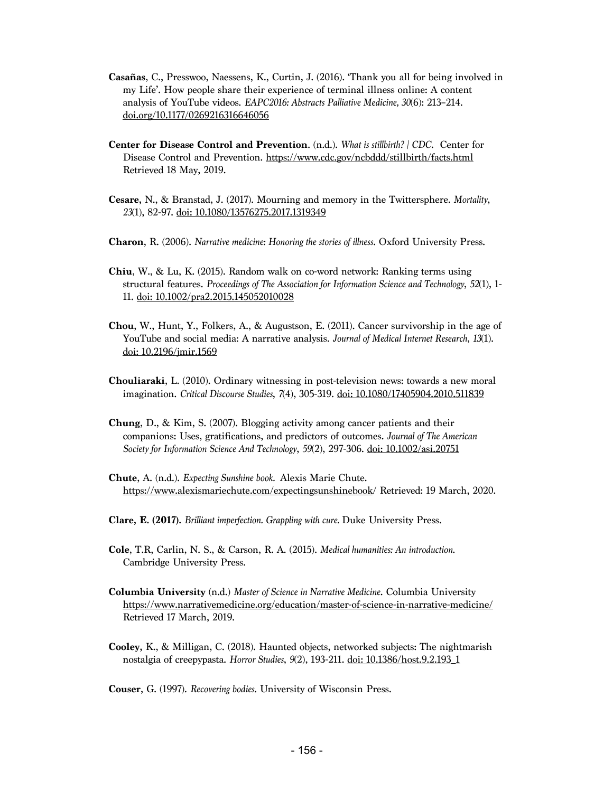- **Casañas**, C., Presswoo, Naessens, K., Curtin, J. (2016). 'Thank you all for being involved in my Life'. How people share their experience of terminal illness online: A content analysis of YouTube videos. *EAPC2016: Abstracts Palliative Medicine, 30*(6): 213–214. doi.org/10.1177/0269216316646056
- **Center for Disease Control and Prevention**. (n.d.). *What is stillbirth? | CDC*. Center for Disease Control and Prevention. https://www.cdc.gov/ncbddd/stillbirth/facts.html Retrieved 18 May, 2019.
- **Cesare,** N., & Branstad, J. (2017). Mourning and memory in the Twittersphere. *Mortality*, *23*(1), 82-97. doi: 10.1080/13576275.2017.1319349
- **Charon**, R. (2006). *Narrative medicine: Honoring the stories of illness*. Oxford University Press.
- **Chiu**, W., & Lu, K. (2015). Random walk on co-word network: Ranking terms using structural features. *Proceedings of The Association for Information Science and Technology*, *52*(1), 1- 11. doi: 10.1002/pra2.2015.145052010028
- **Chou**, W., Hunt, Y., Folkers, A., & Augustson, E. (2011). Cancer survivorship in the age of YouTube and social media: A narrative analysis. *Journal of Medical Internet Research*, *13*(1). doi: 10.2196/jmir.1569
- **Chouliaraki**, L. (2010). Ordinary witnessing in post-television news: towards a new moral imagination. *Critical Discourse Studies*, *7*(4), 305-319. doi: 10.1080/17405904.2010.511839
- **Chung**, D., & Kim, S. (2007). Blogging activity among cancer patients and their companions: Uses, gratifications, and predictors of outcomes. *Journal of The American Society for Information Science And Technology*, *59*(2), 297-306. doi: 10.1002/asi.20751
- **Chute**, A. (n.d.). *Expecting Sunshine book.* Alexis Marie Chute. https://www.alexismariechute.com/expectingsunshinebook/ Retrieved: 19 March, 2020.
- **Clare, E. (2017).** *Brilliant imperfection. Grappling with cure.* Duke University Press.
- **Cole**, T.R, Carlin, N. S., & Carson, R. A. (2015). *Medical humanities: An introduction*. Cambridge University Press.
- **Columbia University** (n.d.) *Master of Science in Narrative Medicine*. Columbia University https://www.narrativemedicine.org/education/master-of-science-in-narrative-medicine/ Retrieved 17 March, 2019.
- **Cooley,** K., & Milligan, C. (2018). Haunted objects, networked subjects: The nightmarish nostalgia of creepypasta. *Horror Studies*, *9*(2), 193-211. doi: 10.1386/host.9.2.193\_1

**Couser**, G. (1997). *Recovering bodies*. University of Wisconsin Press.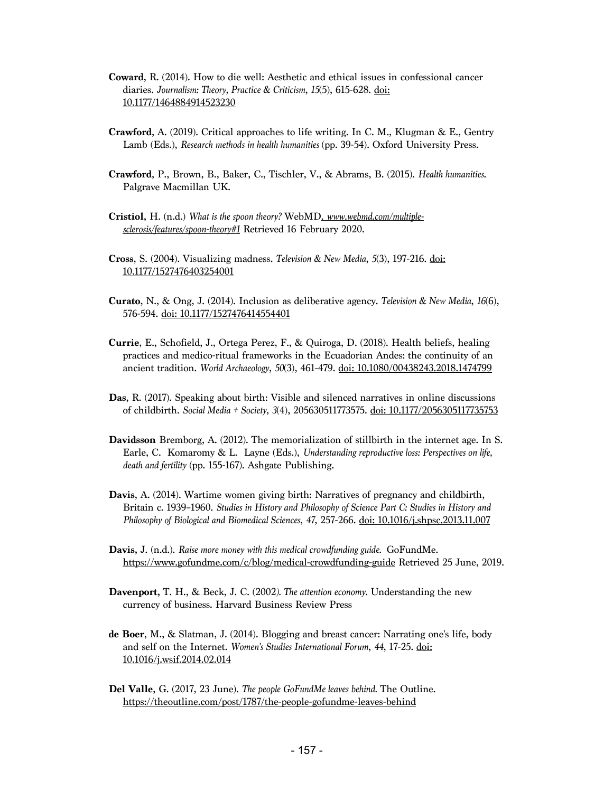- **Coward**, R. (2014). How to die well: Aesthetic and ethical issues in confessional cancer diaries. *Journalism: Theory, Practice & Criticism*, *15*(5), 615-628. doi: 10.1177/1464884914523230
- **Crawford**, A. (2019). Critical approaches to life writing. In C. M., Klugman & E., Gentry Lamb (Eds.), *Research methods in health humanities* (pp. 39-54). Oxford University Press.
- **Crawford**, P., Brown, B., Baker, C., Tischler, V., & Abrams, B. (2015). *Health humanities*. Palgrave Macmillan UK.
- **Cristiol,** H. (n.d.) *What is the spoon theory?* WebMD. *www.webmd.com/multiplesclerosis/features/spoon-theory#1* Retrieved 16 February 2020.
- **Cross**, S. (2004). Visualizing madness. *Television & New Media*, *5*(3), 197-216. doi: 10.1177/1527476403254001
- **Curato**, N., & Ong, J. (2014). Inclusion as deliberative agency. *Television & New Media*, *16*(6), 576-594. doi: 10.1177/1527476414554401
- **Currie**, E., Schofield, J., Ortega Perez, F., & Quiroga, D. (2018). Health beliefs, healing practices and medico-ritual frameworks in the Ecuadorian Andes: the continuity of an ancient tradition. *World Archaeology*, *50*(3), 461-479. doi: 10.1080/00438243.2018.1474799
- **Das**, R. (2017). Speaking about birth: Visible and silenced narratives in online discussions of childbirth. *Social Media + Society*, *3*(4), 205630511773575. doi: 10.1177/2056305117735753
- **Davidsson** Bremborg, A. (2012). The memorialization of stillbirth in the internet age. In S. Earle, C. Komaromy & L. Layne (Eds.), *Understanding reproductive loss: Perspectives on life, death and fertility* (pp. 155-167). Ashgate Publishing.
- **Davis**, A. (2014). Wartime women giving birth: Narratives of pregnancy and childbirth, Britain c. 1939–1960. *Studies in History and Philosophy of Science Part C: Studies in History and Philosophy of Biological and Biomedical Sciences*, *47*, 257-266. doi: 10.1016/j.shpsc.2013.11.007
- **Davis,** J. (n.d.). *Raise more money with this medical crowdfunding guide.* GoFundMe. https://www.gofundme.com/c/blog/medical-crowdfunding-guide Retrieved 25 June, 2019.
- **Davenport,** T. H., & Beck, J. C. (2002*). The attention economy.* Understanding the new currency of business. Harvard Business Review Press
- **de Boer**, M., & Slatman, J. (2014). Blogging and breast cancer: Narrating one's life, body and self on the Internet. *Women's Studies International Forum*, *44*, 17-25. doi: 10.1016/j.wsif.2014.02.014
- **Del Valle**, G. (2017, 23 June). *The people GoFundMe leaves behind.* The Outline. https://theoutline.com/post/1787/the-people-gofundme-leaves-behind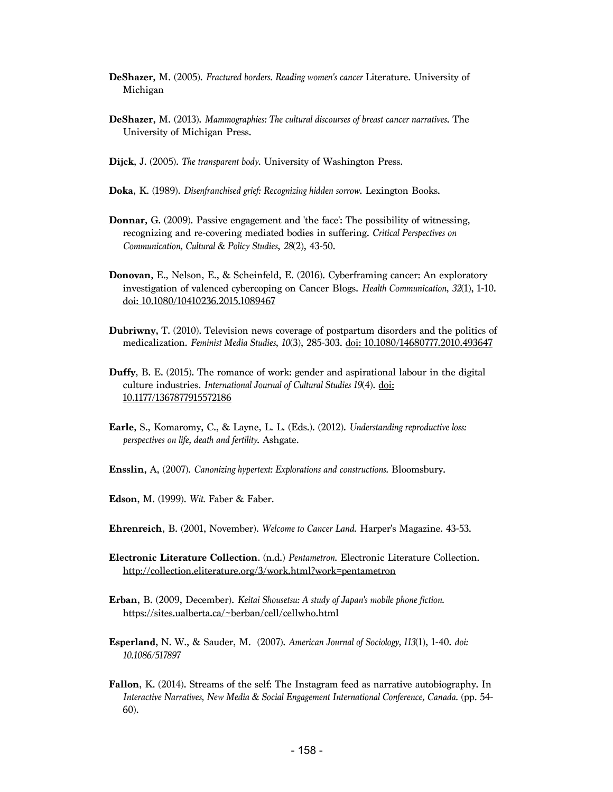- **DeShazer,** M. (2005). *Fractured borders. Reading women's cancer* Literature. University of Michigan
- **DeShazer,** M. (2013). *Mammographies: The cultural discourses of breast cancer narratives*. The University of Michigan Press.
- **Dijck**, J. (2005). *The transparent body*. University of Washington Press.
- **Doka**, K. (1989). *Disenfranchised grief: Recognizing hidden sorrow*. Lexington Books.
- **Donnar,** G. (2009). Passive engagement and 'the face': The possibility of witnessing, recognizing and re-covering mediated bodies in suffering. *Critical Perspectives on Communication, Cultural & Policy Studies*, *28*(2), 43-50.
- **Donovan**, E., Nelson, E., & Scheinfeld, E. (2016). Cyberframing cancer: An exploratory investigation of valenced cybercoping on Cancer Blogs. *Health Communication*, *32*(1), 1-10. doi: 10.1080/10410236.2015.1089467
- **Dubriwny,** T. (2010). Television news coverage of postpartum disorders and the politics of medicalization. *Feminist Media Studies*, *10*(3), 285-303. doi: 10.1080/14680777.2010.493647
- **Duffy**, B. E. (2015). The romance of work: gender and aspirational labour in the digital culture industries. *International Journal of Cultural Studies 19*(4). doi: 10.1177/1367877915572186
- **Earle**, S., Komaromy, C., & Layne, L. L. (Eds.). (2012). *Understanding reproductive loss: perspectives on life, death and fertility*. Ashgate.
- **Ensslin,** A, (2007). *Canonizing hypertext: Explorations and constructions.* Bloomsbury.
- **Edson**, M. (1999). *Wit.* Faber & Faber.
- **Ehrenreich**, B. (2001, November). *Welcome to Cancer Land*. Harper's Magazine. 43-53.
- **Electronic Literature Collection**. (n.d.) *Pentametron*. Electronic Literature Collection. http://collection.eliterature.org/3/work.html?work=pentametron
- **Erban**, B. (2009, December). *Keitai Shousetsu: A study of Japan's mobile phone fiction.*  https://sites.ualberta.ca/~berban/cell/cellwho.html
- **Esperland,** N. W., & Sauder, M. (2007). *American Journal of Sociology, 113*(1), 1-40. *doi: 10.1086/517897*
- **Fallon**, K. (2014). Streams of the self: The Instagram feed as narrative autobiography. In *Interactive Narratives, New Media & Social Engagement International Conference, Canada.* (pp. 54- 60).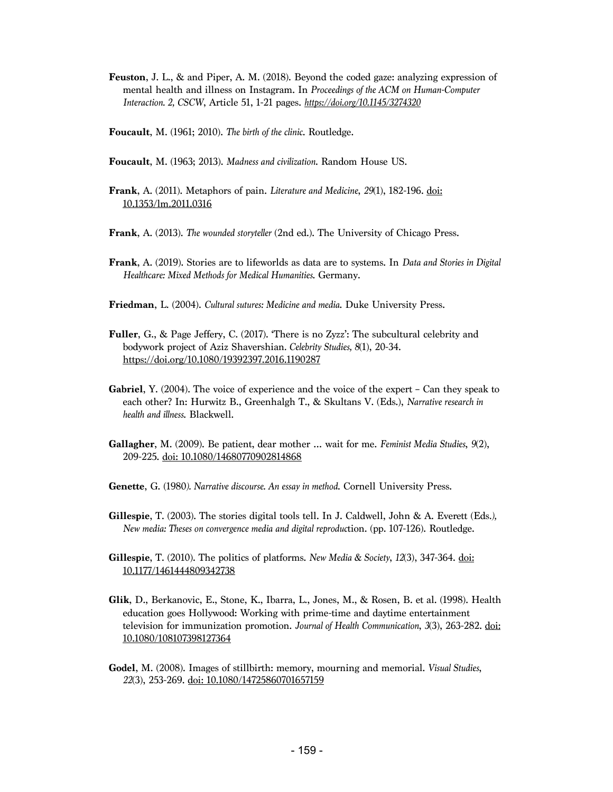- **Feuston**, J. L., & and Piper, A. M. (2018). Beyond the coded gaze: analyzing expression of mental health and illness on Instagram. In *Proceedings of the ACM on Human-Computer Interaction. 2, CSCW*, Article 51, 1-21 pages. *https://doi.org/10.1145/3274320*
- **Foucault**, M. (1961; 2010). *The birth of the clinic*. Routledge.
- **Foucault**, M. (1963; 2013). *Madness and civilization*. Random House US.
- **Frank**, A. (2011). Metaphors of pain. *Literature and Medicine*, *29*(1), 182-196. doi: 10.1353/lm.2011.0316
- **Frank**, A. (2013). *The wounded storyteller* (2nd ed.). The University of Chicago Press.
- **Frank**, A. (2019). Stories are to lifeworlds as data are to systems. In *Data and Stories in Digital Healthcare: Mixed Methods for Medical Humanities*. Germany.
- **Friedman**, L. (2004). *Cultural sutures: Medicine and media*. Duke University Press.
- **Fuller**, G., & Page Jeffery, C. (2017). 'There is no Zyzz': The subcultural celebrity and bodywork project of Aziz Shavershian*. Celebrity Studies, 8*(1), 20-34. https://doi.org/10.1080/19392397.2016.1190287
- **Gabriel**, Y. (2004). The voice of experience and the voice of the expert Can they speak to each other? In: Hurwitz B., Greenhalgh T., & Skultans V. (Eds.), *Narrative research in health and illness*. Blackwell.
- **Gallagher**, M. (2009). Be patient, dear mother … wait for me. *Feminist Media Studies*, *9*(2), 209-225. doi: 10.1080/14680770902814868
- **Genette**, G. (1980*). Narrative discourse. An essay in method*. Cornell University Press.
- **Gillespie**, T. (2003). The stories digital tools tell. In J. Caldwell, John & A. Everett (Eds*.), New media: Theses on convergence media and digital reproduc*tion. (pp. 107-126). Routledge.
- **Gillespie**, T. (2010). The politics of platforms. *New Media & Society*, *12*(3), 347-364. doi: 10.1177/1461444809342738
- **Glik**, D., Berkanovic, E., Stone, K., Ibarra, L., Jones, M., & Rosen, B. et al. (1998). Health education goes Hollywood: Working with prime-time and daytime entertainment television for immunization promotion. *Journal of Health Communication*, *3*(3), 263-282. doi: 10.1080/108107398127364
- **Godel**, M. (2008). Images of stillbirth: memory, mourning and memorial. *Visual Studies*, *22*(3), 253-269. doi: 10.1080/14725860701657159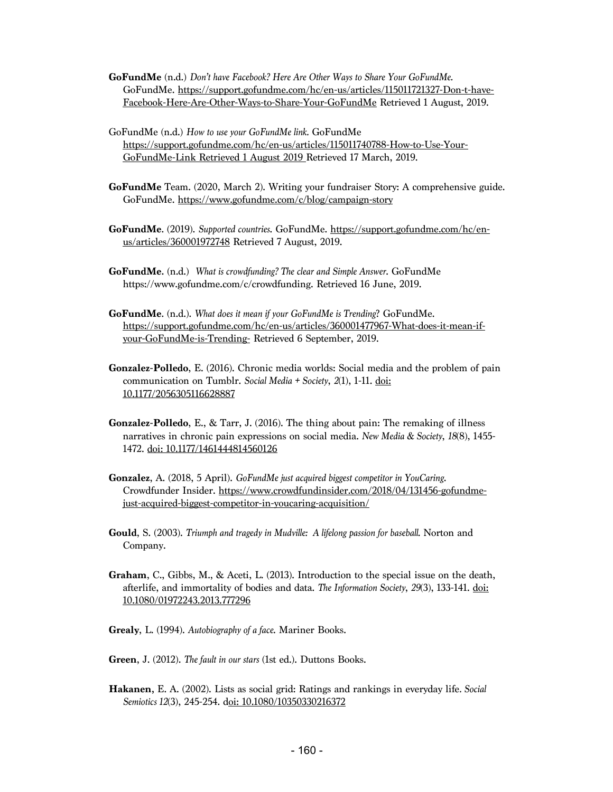- **GoFundMe** (n.d.) *Don't have Facebook? Here Are Other Ways to Share Your GoFundMe.* GoFundMe. https://support.gofundme.com/hc/en-us/articles/115011721327-Don-t-have-Facebook-Here-Are-Other-Ways-to-Share-Your-GoFundMe Retrieved 1 August, 2019.
- GoFundMe (n.d.) *How to use your GoFundMe link.* GoFundMe https://support.gofundme.com/hc/en-us/articles/115011740788-How-to-Use-Your-GoFundMe-Link Retrieved 1 August 2019 Retrieved 17 March, 2019.
- **GoFundMe** Team. (2020, March 2). Writing your fundraiser Story: A comprehensive guide. GoFundMe. https://www.gofundme.com/c/blog/campaign-story
- **GoFundMe**. (2019). *Supported countries*. GoFundMe. https://support.gofundme.com/hc/enus/articles/360001972748 Retrieved 7 August, 2019.
- **GoFundMe.** (n.d.) *What is crowdfunding? The clear and Simple Answer*. GoFundMe https://www.gofundme.com/c/crowdfunding. Retrieved 16 June, 2019.
- **GoFundMe**. (n.d.). *What does it mean if your GoFundMe is Trending*? GoFundMe. https://support.gofundme.com/hc/en-us/articles/360001477967-What-does-it-mean-ifyour-GoFundMe-is-Trending- Retrieved 6 September, 2019.
- **Gonzalez-Polledo**, E. (2016). Chronic media worlds: Social media and the problem of pain communication on Tumblr. *Social Media + Society*, *2*(1), 1-11. doi: 10.1177/2056305116628887
- **Gonzalez-Polledo**, E., & Tarr, J. (2016). The thing about pain: The remaking of illness narratives in chronic pain expressions on social media. *New Media & Society*, *18*(8), 1455- 1472. doi: 10.1177/1461444814560126
- **Gonzalez**, A. (2018, 5 April). *GoFundMe just acquired biggest competitor in YouCaring*. Crowdfunder Insider. https://www.crowdfundinsider.com/2018/04/131456-gofundmejust-acquired-biggest-competitor-in-youcaring-acquisition/
- **Gould**, S. (2003). *Triumph and tragedy in Mudville: A lifelong passion for baseball*. Norton and Company.
- **Graham**, C., Gibbs, M., & Aceti, L. (2013). Introduction to the special issue on the death, afterlife, and immortality of bodies and data. *The Information Society*, *29*(3), 133-141. doi: 10.1080/01972243.2013.777296
- **Grealy**, L. (1994). *Autobiography of a face*. Mariner Books.
- **Green**, J. (2012). *The fault in our stars* (1st ed.). Duttons Books.
- **Hakanen,** E. A. (2002). Lists as social grid: Ratings and rankings in everyday life*. Social Semiotics 12*(3), 245-254. doi: 10.1080/10350330216372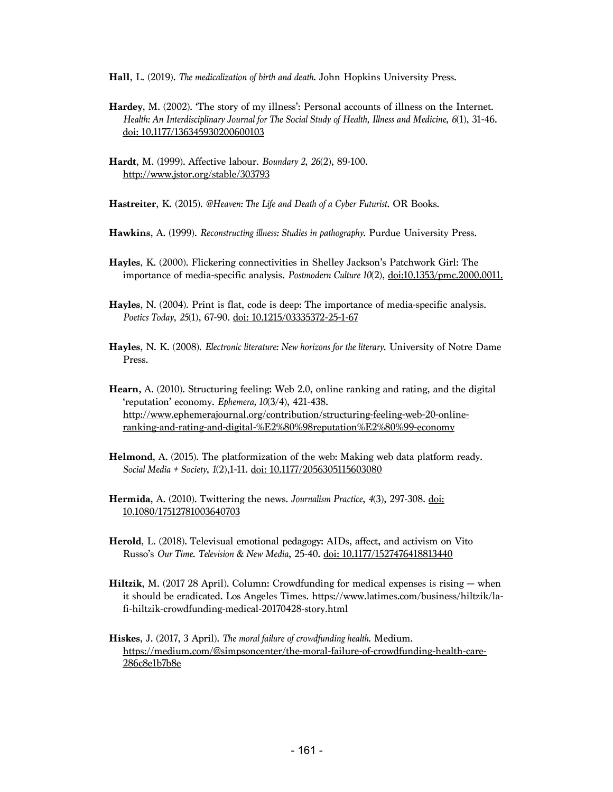**Hall**, L. (2019). *The medicalization of birth and death*. John Hopkins University Press.

- **Hardey**, M. (2002). 'The story of my illness': Personal accounts of illness on the Internet. *Health: An Interdisciplinary Journal for The Social Study of Health, Illness and Medicine*, *6*(1), 31-46. doi: 10.1177/136345930200600103
- **Hardt**, M. (1999). Affective labour. *Boundary 2*, *26*(2), 89-100. http://www.jstor.org/stable/303793

**Hastreiter**, K. (2015). *@Heaven: The Life and Death of a Cyber Futurist*. OR Books.

- **Hawkins**, A. (1999). *Reconstructing illness: Studies in pathography*. Purdue University Press.
- **Hayles**, K. (2000). Flickering connectivities in Shelley Jackson's Patchwork Girl: The importance of media-specific analysis. *Postmodern Culture 10*(2), doi:10.1353/pmc.2000.0011.
- **Hayles**, N. (2004). Print is flat, code is deep: The importance of media-specific analysis. *Poetics Today*, *25*(1), 67-90. doi: 10.1215/03335372-25-1-67
- **Hayles**, N. K. (2008). *Electronic literature: New horizons for the literary*. University of Notre Dame Press.
- **Hearn,** A. (2010). Structuring feeling: Web 2.0, online ranking and rating, and the digital 'reputation' economy. *Ephemera, 10*(3/4), 421-438. http://www.ephemerajournal.org/contribution/structuring-feeling-web-20-onlineranking-and-rating-and-digital-%E2%80%98reputation%E2%80%99-economy
- **Helmond**, A. (2015). The platformization of the web: Making web data platform ready. *Social Media + Society*, *1*(2),1-11. doi: 10.1177/2056305115603080
- **Hermida**, A. (2010). Twittering the news. *Journalism Practice*, *4*(3), 297-308. doi: 10.1080/17512781003640703
- **Herold**, L. (2018). Televisual emotional pedagogy: AIDs, affect, and activism on Vito Russo's *Our Time*. *Television & New Media*, 25-40. doi: 10.1177/1527476418813440
- **Hiltzik**, M. (2017 28 April). Column: Crowdfunding for medical expenses is rising when it should be eradicated. Los Angeles Times. https://www.latimes.com/business/hiltzik/lafi-hiltzik-crowdfunding-medical-20170428-story.html

**Hiskes**, J. (2017, 3 April). *The moral failure of crowdfunding health*. Medium. https://medium.com/@simpsoncenter/the-moral-failure-of-crowdfunding-health-care-286c8e1b7b8e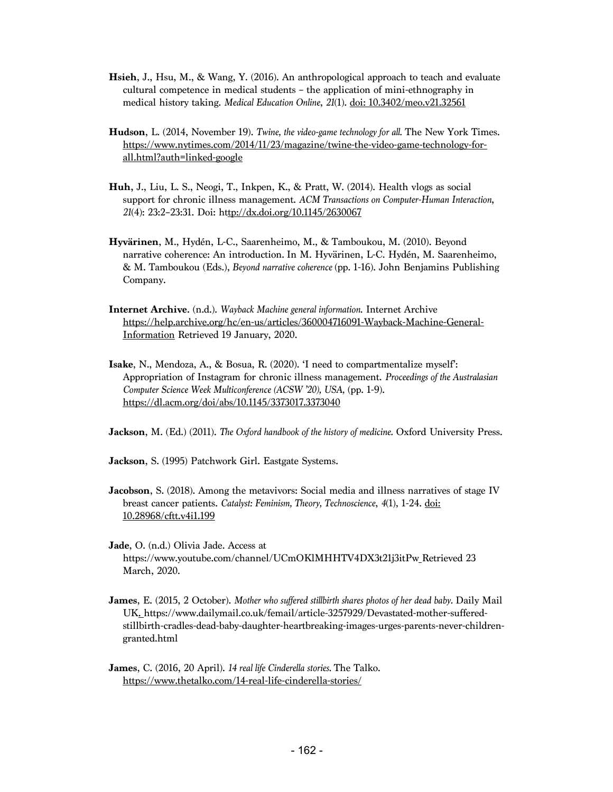- **Hsieh**, J., Hsu, M., & Wang, Y. (2016). An anthropological approach to teach and evaluate cultural competence in medical students – the application of mini-ethnography in medical history taking. *Medical Education Online*, *21*(1). doi: 10.3402/meo.v21.32561
- **Hudson**, L. (2014, November 19). *Twine, the video-game technology for all.* The New York Times. https://www.nytimes.com/2014/11/23/magazine/twine-the-video-game-technology-forall.html?auth=linked-google
- **Huh,** J., Liu, L. S., Neogi, T., Inkpen, K., & Pratt, W. (2014). Health vlogs as social support for chronic illness management. *ACM Transactions on Computer-Human Interaction*, *21*(4): 23:2–23:31. Doi: http://dx.doi.org/10.1145/2630067
- **Hyvärinen**, M., Hydén, L-C., Saarenheimo, M., & Tamboukou, M. (2010). Beyond narrative coherence: An introduction. In M. Hyvärinen, L-C. Hydén, M. Saarenheimo, & M. Tamboukou (Eds.), *Beyond narrative coherence* (pp. 1-16). John Benjamins Publishing Company.
- **Internet Archive.** (n.d.). *Wayback Machine general information*. Internet Archive https://help.archive.org/hc/en-us/articles/360004716091-Wayback-Machine-General-Information Retrieved 19 January, 2020.
- **Isake**, N., Mendoza, A., & Bosua, R. (2020). 'I need to compartmentalize myself': Appropriation of Instagram for chronic illness management. *Proceedings of the Australasian Computer Science Week Multiconference (ACSW '20), USA,* (pp. 1-9). https://dl.acm.org/doi/abs/10.1145/3373017.3373040

**Jackson**, M. (Ed.) (2011). *The Oxford handbook of the history of medicine.* Oxford University Press.

**Jackson**, S. (1995) Patchwork Girl. Eastgate Systems.

- **Jacobson**, S. (2018). Among the metavivors: Social media and illness narratives of stage IV breast cancer patients. *Catalyst: Feminism, Theory, Technoscience*, *4*(1), 1-24. doi: 10.28968/cftt.v4i1.199
- **Jade**, O. (n.d.) Olivia Jade. Access at https://www.youtube.com/channel/UCmOKlMHHTV4DX3t21j3itPw Retrieved 23 March, 2020.
- **James**, E. (2015, 2 October). *Mother who suffered stillbirth shares photos of her dead baby.* Daily Mail UK. https://www.dailymail.co.uk/femail/article-3257929/Devastated-mother-sufferedstillbirth-cradles-dead-baby-daughter-heartbreaking-images-urges-parents-never-childrengranted.html
- **James**, C. (2016, 20 April). *14 real life Cinderella stories.* The Talko. https://www.thetalko.com/14-real-life-cinderella-stories/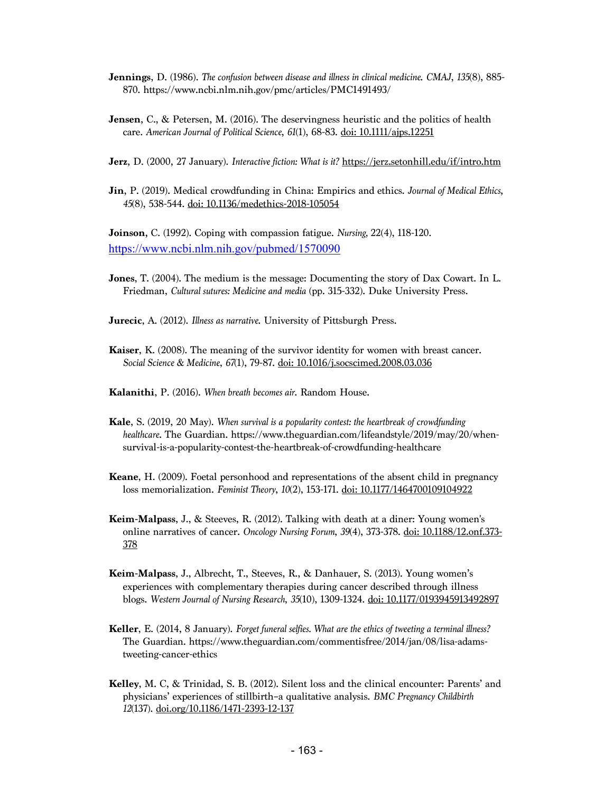- **Jennings**, D. (1986). *The confusion between disease and illness in clinical medicine*. *CMAJ*, *135*(8), 885- 870. https://www.ncbi.nlm.nih.gov/pmc/articles/PMC1491493/
- **Jensen**, C., & Petersen, M. (2016). The deservingness heuristic and the politics of health care. *American Journal of Political Science*, *61*(1), 68-83. doi: 10.1111/ajps.12251
- **Jerz**, D. (2000, 27 January). *Interactive fiction: What is it?* https://jerz.setonhill.edu/if/intro.htm
- **Jin**, P. (2019). Medical crowdfunding in China: Empirics and ethics. *Journal of Medical Ethics*, *45*(8), 538-544. doi: 10.1136/medethics-2018-105054

**Joinson,** C. (1992). Coping with compassion fatigue. *Nursing,* 22(4), 118-120. https://www.ncbi.nlm.nih.gov/pubmed/1570090

- **Jones**, T. (2004). The medium is the message: Documenting the story of Dax Cowart. In L. Friedman, *Cultural sutures: Medicine and media* (pp. 315-332). Duke University Press.
- **Jurecic**, A. (2012). *Illness as narrative*. University of Pittsburgh Press.
- **Kaiser**, K. (2008). The meaning of the survivor identity for women with breast cancer. *Social Science & Medicine*, *67*(1), 79-87. doi: 10.1016/j.socscimed.2008.03.036
- **Kalanithi**, P. (2016). *When breath becomes air*. Random House.
- **Kale**, S. (2019, 20 May). *When survival is a popularity contest: the heartbreak of crowdfunding healthcare*. The Guardian. https://www.theguardian.com/lifeandstyle/2019/may/20/whensurvival-is-a-popularity-contest-the-heartbreak-of-crowdfunding-healthcare
- **Keane**, H. (2009). Foetal personhood and representations of the absent child in pregnancy loss memorialization. *Feminist Theory*, *10*(2), 153-171. doi: 10.1177/1464700109104922
- **Keim-Malpass**, J., & Steeves, R. (2012). Talking with death at a diner: Young women's online narratives of cancer. *Oncology Nursing Forum*, *39*(4), 373-378. doi: 10.1188/12.onf.373- 378
- **Keim-Malpass**, J., Albrecht, T., Steeves, R., & Danhauer, S. (2013). Young women's experiences with complementary therapies during cancer described through illness blogs. *Western Journal of Nursing Research*, *35*(10), 1309-1324. doi: 10.1177/0193945913492897
- **Keller**, E. (2014, 8 January). *Forget funeral selfies. What are the ethics of tweeting a terminal illness?* The Guardian. https://www.theguardian.com/commentisfree/2014/jan/08/lisa-adamstweeting-cancer-ethics
- **Kelley**, M. C, & Trinidad, S. B. (2012). Silent loss and the clinical encounter: Parents' and physicians' experiences of stillbirth–a qualitative analysis. *BMC Pregnancy Childbirth 12*(137). doi.org/10.1186/1471-2393-12-137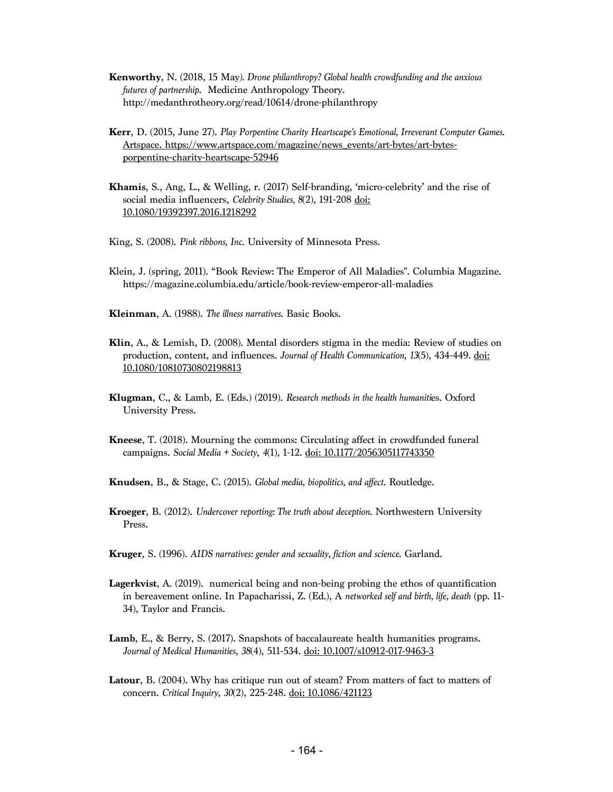- **Kenworthy**, N. (2018, 15 May*). Drone philanthropy? Global health crowdfunding and the anxious futures of partnership*. Medicine Anthropology Theory. http://medanthrotheory.org/read/10614/drone-philanthropy
- **Kerr**, D. (2015, June 27). *Play Porpentine Charity Heartscape's Emotional, Irreverant Computer Games*. Artspace. https://www.artspace.com/magazine/news\_events/art-bytes/art-bytesporpentine-charity-heartscape-52946
- **Khamis**, S., Ang, L., & Welling, r. (2017) Self-branding, 'micro-celebrity' and the rise of social media influencers, *Celebrity Studies, 8*(2), 191-208 doi: 10.1080/19392397.2016.1218292
- King, S. (2008). *Pink ribbons, Inc.* University of Minnesota Press.
- Klein, J. (spring, 2011). "Book Review: The Emperor of All Maladies". Columbia Magazine. https://magazine.columbia.edu/article/book-review-emperor-all-maladies
- **Kleinman**, A. (1988). *The illness narratives*. Basic Books.
- **Klin**, A., & Lemish, D. (2008). Mental disorders stigma in the media: Review of studies on production, content, and influences. *Journal of Health Communication*, *13*(5), 434-449. doi: 10.1080/10810730802198813
- **Klugman**, C., & Lamb, E. (Eds.) (2019). *Research methods in the health humaniti*es. Oxford University Press.
- **Kneese**, T. (2018). Mourning the commons: Circulating affect in crowdfunded funeral campaigns. *Social Media + Society*, *4*(1), 1-12. doi: 10.1177/2056305117743350
- **Knudsen**, B., & Stage, C. (2015). *Global media, biopolitics, and affect*. Routledge.
- **Kroeger**, B. (2012). *Undercover reporting: The truth about deception*. Northwestern University Press.
- **Kruger**, S. (1996). *AIDS narratives: gender and sexuality, fiction and science*. Garland.
- **Lagerkvist**, A. (2019). numerical being and non-being probing the ethos of quantification in bereavement online. In Papacharissi, Z. (Ed.), A *networked self and birth, life, death* (pp. 11- 34), Taylor and Francis.
- **Lamb**, E., & Berry, S. (2017). Snapshots of baccalaureate health humanities programs. *Journal of Medical Humanities*, *38*(4), 511-534. doi: 10.1007/s10912-017-9463-3
- **Latour**, B. (2004). Why has critique run out of steam? From matters of fact to matters of concern. *Critical Inquiry*, *30*(2), 225-248. doi: 10.1086/421123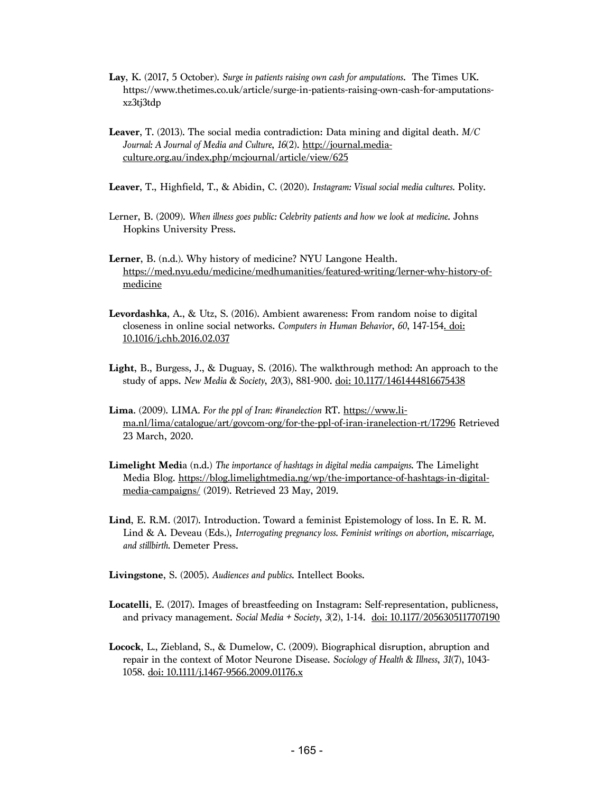- **Lay**, K. (2017, 5 October). *Surge in patients raising own cash for amputations*. The Times UK. https://www.thetimes.co.uk/article/surge-in-patients-raising-own-cash-for-amputationsxz3tj3tdp
- **Leaver**, T. (2013). The social media contradiction: Data mining and digital death. *M/C Journal: A Journal of Media and Culture*, *16*(2). http://journal.mediaculture.org.au/index.php/mcjournal/article/view/625
- **Leaver**, T., Highfield, T., & Abidin, C. (2020). *Instagram: Visual social media cultures.* Polity.
- Lerner, B. (2009). *When illness goes public: Celebrity patients and how we look at medicine*. Johns Hopkins University Press.
- **Lerner**, B. (n.d.). Why history of medicine? NYU Langone Health. https://med.nyu.edu/medicine/medhumanities/featured-writing/lerner-why-history-ofmedicine
- **Levordashka**, A., & Utz, S. (2016). Ambient awareness: From random noise to digital closeness in online social networks. *Computers in Human Behavior*, *60*, 147-154. doi: 10.1016/j.chb.2016.02.037
- **Light**, B., Burgess, J., & Duguay, S. (2016). The walkthrough method: An approach to the study of apps. *New Media & Society*, *20*(3), 881-900. doi: 10.1177/1461444816675438
- **Lima**. (2009). LIMA*. For the ppl of Iran: #iranelection* RT. https://www.lima.nl/lima/catalogue/art/govcom-org/for-the-ppl-of-iran-iranelection-rt/17296 Retrieved 23 March, 2020.
- **Limelight Medi**a (n.d.) *The importance of hashtags in digital media campaigns*. The Limelight Media Blog. https://blog.limelightmedia.ng/wp/the-importance-of-hashtags-in-digitalmedia-campaigns/ (2019). Retrieved 23 May, 2019.
- **Lind**, E. R.M. (2017). Introduction. Toward a feminist Epistemology of loss*.* In E. R. M. Lind & A. Deveau (Eds.), *Interrogating pregnancy loss. Feminist writings on abortion, miscarriage, and stillbirth.* Demeter Press.
- **Livingstone**, S. (2005). *Audiences and publics*. Intellect Books.
- **Locatelli**, E. (2017). Images of breastfeeding on Instagram: Self-representation, publicness, and privacy management. *Social Media + Society*, *3*(2), 1-14. doi: 10.1177/2056305117707190
- **Locock**, L., Ziebland, S., & Dumelow, C. (2009). Biographical disruption, abruption and repair in the context of Motor Neurone Disease. *Sociology of Health & Illness*, *31*(7), 1043- 1058. doi: 10.1111/j.1467-9566.2009.01176.x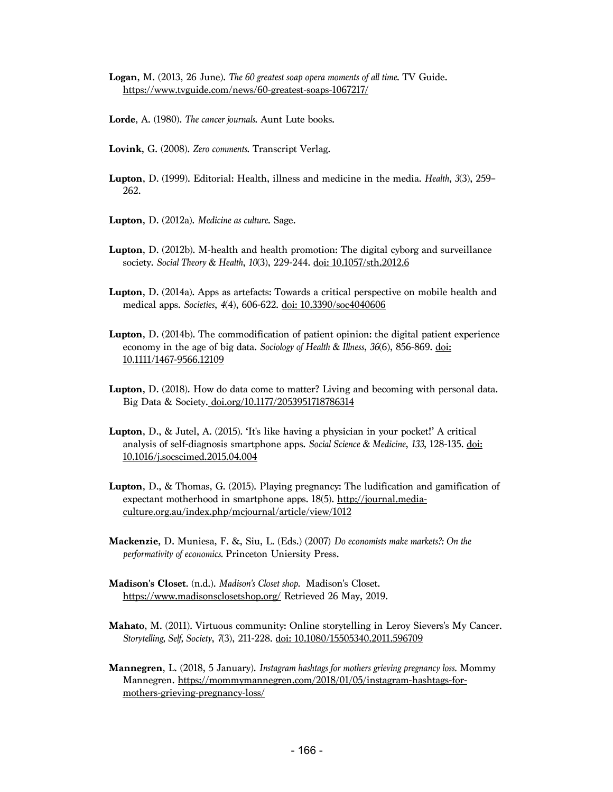**Logan**, M. (2013, 26 June). *The 60 greatest soap opera moments of all time*. TV Guide. https://www.tvguide.com/news/60-greatest-soaps-1067217/

- **Lorde**, A. (1980). *The cancer journals*. Aunt Lute books.
- **Lovink**, G. (2008). *Zero comments*. Transcript Verlag.
- **Lupton**, D. (1999). Editorial: Health, illness and medicine in the media. *Health*, *3*(3), 259– 262.
- **Lupton**, D. (2012a). *Medicine as culture*. Sage.
- **Lupton**, D. (2012b). M-health and health promotion: The digital cyborg and surveillance society. *Social Theory & Health*, *10*(3), 229-244. doi: 10.1057/sth.2012.6
- **Lupton**, D. (2014a). Apps as artefacts: Towards a critical perspective on mobile health and medical apps. *Societies*, *4*(4), 606-622. doi: 10.3390/soc4040606
- **Lupton**, D. (2014b). The commodification of patient opinion: the digital patient experience economy in the age of big data. *Sociology of Health & Illness*, *36*(6), 856-869. doi: 10.1111/1467-9566.12109
- **Lupton**, D. (2018). How do data come to matter? Living and becoming with personal data. Big Data & Society. doi.org/10.1177/2053951718786314
- **Lupton**, D., & Jutel, A. (2015). 'It's like having a physician in your pocket!' A critical analysis of self-diagnosis smartphone apps. *Social Science & Medicine*, *133*, 128-135. doi: 10.1016/j.socscimed.2015.04.004
- **Lupton**, D., & Thomas, G. (2015). Playing pregnancy: The ludification and gamification of expectant motherhood in smartphone apps. 18(5). http://journal.mediaculture.org.au/index.php/mcjournal/article/view/1012
- **Mackenzie,** D. Muniesa, F. &, Siu, L. (Eds.) (2007) *Do economists make markets?: On the performativity of economics.* Princeton Uniersity Press.
- **Madison's Closet**. (n.d.). *Madison's Closet shop.* Madison's Closet. https://www.madisonsclosetshop.org/ Retrieved 26 May, 2019.
- **Mahato**, M. (2011). Virtuous community: Online storytelling in Leroy Sievers's My Cancer. *Storytelling, Self, Society*, *7*(3), 211-228. doi: 10.1080/15505340.2011.596709
- **Mannegren**, L. (2018, 5 January). *Instagram hashtags for mothers grieving pregnancy loss.* Mommy Mannegren. https://mommymannegren.com/2018/01/05/instagram-hashtags-formothers-grieving-pregnancy-loss/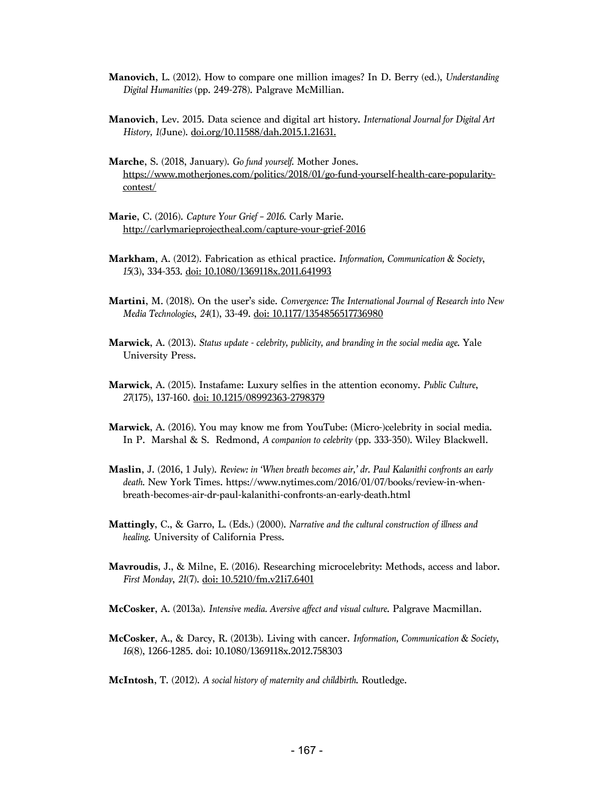- **Manovich**, L. (2012). How to compare one million images? In D. Berry (ed.), *Understanding Digital Humanities* (pp. 249-278). Palgrave McMillian.
- **Manovich**, Lev. 2015. Data science and digital art history. *International Journal for Digital Art History, 1(*June). doi.org/10.11588/dah.2015.1.21631.
- **Marche**, S. (2018, January). *Go fund yourself.* Mother Jones. https://www.motherjones.com/politics/2018/01/go-fund-yourself-health-care-popularitycontest/
- **Marie**, C. (2016). *Capture Your Grief – 2016.* Carly Marie. http://carlymarieprojectheal.com/capture-your-grief-2016
- **Markham**, A. (2012). Fabrication as ethical practice. *Information, Communication & Society*, *15*(3), 334-353. doi: 10.1080/1369118x.2011.641993
- **Martini**, M. (2018). On the user's side. *Convergence: The International Journal of Research into New Media Technologies*, *24*(1), 33-49. doi: 10.1177/1354856517736980
- **Marwick**, A. (2013). *Status update - celebrity, publicity, and branding in the social media age*. Yale University Press.
- **Marwick**, A. (2015). Instafame: Luxury selfies in the attention economy. *Public Culture*, *27*(175), 137-160. doi: 10.1215/08992363-2798379
- **Marwick**, A. (2016). You may know me from YouTube: (Micro-)celebrity in social media. In P. Marshal & S. Redmond, *A companion to celebrity* (pp. 333-350). Wiley Blackwell.
- **Maslin**, J. (2016, 1 July). *Review: in 'When breath becomes air,' dr. Paul Kalanithi confronts an early death.* New York Times. https://www.nytimes.com/2016/01/07/books/review-in-whenbreath-becomes-air-dr-paul-kalanithi-confronts-an-early-death.html
- **Mattingly**, C., & Garro, L. (Eds.) (2000). *Narrative and the cultural construction of illness and healing*. University of California Press.
- **Mavroudis**, J., & Milne, E. (2016). Researching microcelebrity: Methods, access and labor. *First Monday*, *21*(7). doi: 10.5210/fm.v21i7.6401
- **McCosker**, A. (2013a). *Intensive media. Aversive affect and visual culture*. Palgrave Macmillan.
- **McCosker**, A., & Darcy, R. (2013b). Living with cancer. *Information, Communication & Society*, *16*(8), 1266-1285. doi: 10.1080/1369118x.2012.758303

**McIntosh**, T. (2012). *A social history of maternity and childbirth*. Routledge.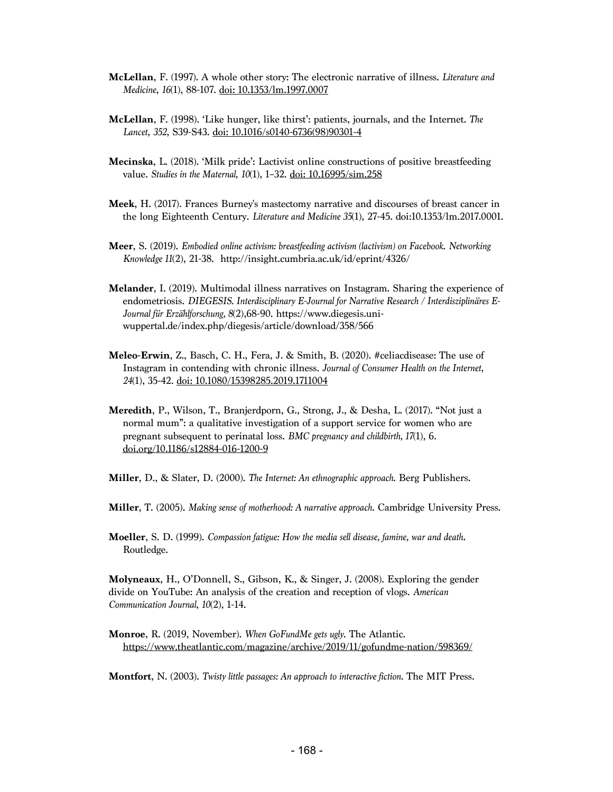- **McLellan**, F. (1997). A whole other story: The electronic narrative of illness. *Literature and Medicine*, *16*(1), 88-107. doi: 10.1353/lm.1997.0007
- **McLellan**, F. (1998). 'Like hunger, like thirst': patients, journals, and the Internet. *The Lancet*, *352*, S39-S43. doi: 10.1016/s0140-6736(98)90301-4
- **Mecinska**, L. (2018). 'Milk pride': Lactivist online constructions of positive breastfeeding value. *Studies in the Maternal, 10*(1), 1–32. doi: 10.16995/sim.258
- **Meek**, H. (2017). Frances Burney's mastectomy narrative and discourses of breast cancer in the long Eighteenth Century. *Literature and Medicine 35*(1), 27-45. doi:10.1353/lm.2017.0001.
- **Meer**, S. (2019). *Embodied online activism: breastfeeding activism (lactivism) on Facebook*. *Networking Knowledge 11*(2), 21-38. http://insight.cumbria.ac.uk/id/eprint/4326/
- **Melander**, I. (2019). Multimodal illness narratives on Instagram. Sharing the experience of endometriosis. *DIEGESIS. Interdisciplinary E-Journal for Narrative Research / Interdisziplinäres E-Journal für Erzählforschung, 8*(2),68-90. https://www.diegesis.uniwuppertal.de/index.php/diegesis/article/download/358/566
- **Meleo-Erwin**, Z., Basch, C. H., Fera, J. & Smith, B. (2020). #celiacdisease: The use of Instagram in contending with chronic illness. *Journal of Consumer Health on the Internet, 24*(1), 35-42. doi: 10.1080/15398285.2019.1711004
- **Meredith**, P., Wilson, T., Branjerdporn, G., Strong, J., & Desha, L. (2017). "Not just a normal mum": a qualitative investigation of a support service for women who are pregnant subsequent to perinatal loss. *BMC pregnancy and childbirth, 17*(1), 6. doi.org/10.1186/s12884-016-1200-9
- **Miller**, D., & Slater, D. (2000). *The Internet: An ethnographic approach*. Berg Publishers.
- **Miller**, T. (2005). *Making sense of motherhood: A narrative approach*. Cambridge University Press.
- **Moeller**, S. D. (1999). *Compassion fatigue: How the media sell disease, famine, war and death***.**  Routledge.

**Molyneaux**, H., O'Donnell, S., Gibson, K., & Singer, J. (2008). Exploring the gender divide on YouTube: An analysis of the creation and reception of vlogs. *American Communication Journal*, *10*(2), 1-14.

**Monroe**, R. (2019, November). *When GoFundMe gets ugly*. The Atlantic. https://www.theatlantic.com/magazine/archive/2019/11/gofundme-nation/598369/

**Montfort**, N. (2003). *Twisty little passages: An approach to interactive fiction*. The MIT Press.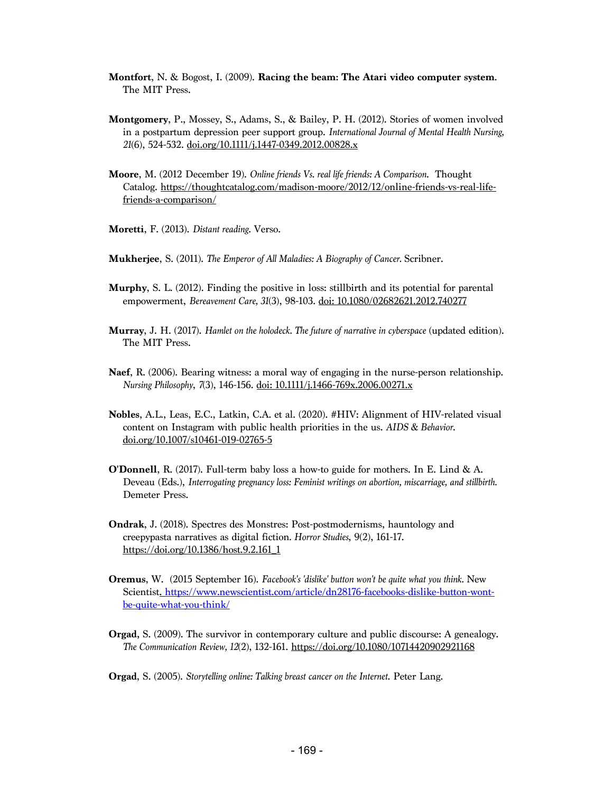- **Montfort**, N. & Bogost, I. (2009). **Racing the beam: The Atari video computer system**. The MIT Press.
- **Montgomery**, P., Mossey, S., Adams, S., & Bailey, P. H. (2012). Stories of women involved in a postpartum depression peer support group. *International Journal of Mental Health Nursing, 21*(6), 524-532. doi.org/10.1111/j.1447-0349.2012.00828.x
- **Moore**, M. (2012 December 19). *Online friends Vs. real life friends: A Comparison*. Thought Catalog. https://thoughtcatalog.com/madison-moore/2012/12/online-friends-vs-real-lifefriends-a-comparison/
- **Moretti**, F. (2013). *Distant reading*. Verso.
- **Mukherjee**, S. (2011). *The Emperor of All Maladies: A Biography of Cancer.* Scribner.
- **Murphy**, S. L. (2012). Finding the positive in loss: stillbirth and its potential for parental empowerment, *Bereavement Care, 31*(3), 98-103. doi: 10.1080/02682621.2012.740277
- **Murray**, J. H. (2017). *Hamlet on the holodeck. The future of narrative in cyberspace* (updated edition). The MIT Press.
- **Naef**, R. (2006). Bearing witness: a moral way of engaging in the nurse-person relationship. *Nursing Philosophy*, *7*(3), 146-156. doi: 10.1111/j.1466-769x.2006.00271.x
- **Nobles**, A.L., Leas, E.C., Latkin, C.A. et al. (2020). #HIV: Alignment of HIV-related visual content on Instagram with public health priorities in the us. *AIDS & Behavior*. doi.org/10.1007/s10461-019-02765-5
- **O'Donnell**, R. (2017). Full-term baby loss a how-to guide for mothers. In E. Lind & A. Deveau (Eds.), *Interrogating pregnancy loss: Feminist writings on abortion, miscarriage, and stillbirth.* Demeter Press.
- **Ondrak**, J. (2018). Spectres des Monstres: Post-postmodernisms, hauntology and creepypasta narratives as digital fiction*. Horror Studies*, 9(2), 161-17. https://doi.org/10.1386/host.9.2.161\_1
- **Oremus**, W. (2015 September 16). *Facebook's 'dislike' button won't be quite what you think.* New Scientist. https://www.newscientist.com/article/dn28176-facebooks-dislike-button-wontbe-quite-what-you-think/
- **Orgad,** S. (2009). The survivor in contemporary culture and public discourse: A genealogy. *The Communication Review, 12*(2), 132-161. https://doi.org/10.1080/10714420902921168
- **Orgad**, S. (2005). *Storytelling online: Talking breast cancer on the Internet*. Peter Lang.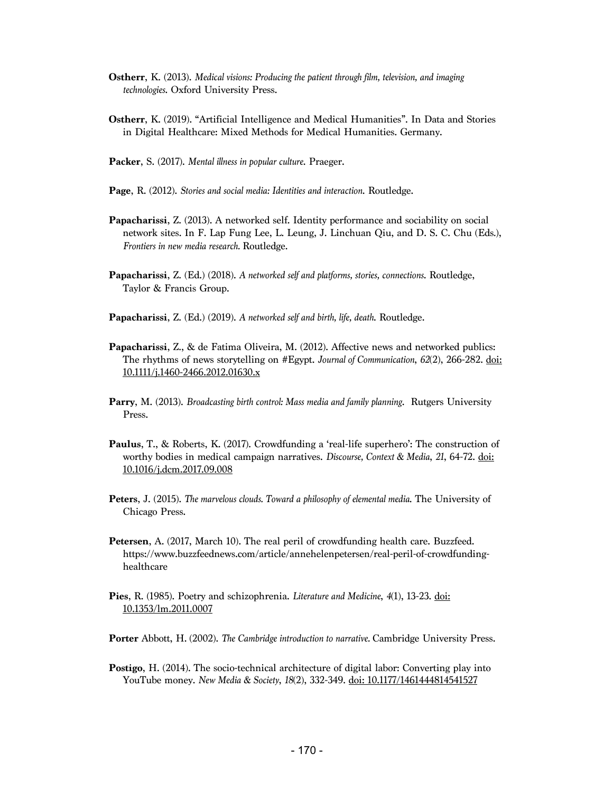- **Ostherr**, K. (2013). *Medical visions: Producing the patient through film, television, and imaging technologies*. Oxford University Press.
- **Ostherr**, K. (2019). "Artificial Intelligence and Medical Humanities". In Data and Stories in Digital Healthcare: Mixed Methods for Medical Humanities. Germany.
- **Packer**, S. (2017). *Mental illness in popular culture*. Praeger.
- **Page**, R. (2012). *Stories and social media: Identities and interaction*. Routledge.
- **Papacharissi**, Z. (2013). A networked self. Identity performance and sociability on social network sites. In F. Lap Fung Lee, L. Leung, J. Linchuan Qiu, and D. S. C. Chu (Eds*.*), *Frontiers in new media research.* Routledge.
- **Papacharissi**, Z. (Ed.) (2018). *A networked self and platforms, stories, connections*. Routledge, Taylor & Francis Group.
- **Papacharissi**, Z. (Ed.) (2019). *A networked self and birth, life, death*. Routledge.
- **Papacharissi**, Z., & de Fatima Oliveira, M. (2012). Affective news and networked publics: The rhythms of news storytelling on #Egypt. *Journal of Communication*, *62*(2), 266-282. doi: 10.1111/j.1460-2466.2012.01630.x
- **Parry**, M. (2013). *Broadcasting birth control: Mass media and family planning*. Rutgers University Press.
- **Paulus**, T., & Roberts, K. (2017). Crowdfunding a 'real-life superhero': The construction of worthy bodies in medical campaign narratives. *Discourse, Context & Media*, *21*, 64-72. doi: 10.1016/j.dcm.2017.09.008
- **Peters**, J. (2015). *The marvelous clouds. Toward a philosophy of elemental media*. The University of Chicago Press.
- **Petersen**, A. (2017, March 10). The real peril of crowdfunding health care. Buzzfeed. https://www.buzzfeednews.com/article/annehelenpetersen/real-peril-of-crowdfundinghealthcare
- **Pies**, R. (1985). Poetry and schizophrenia. *Literature and Medicine*, *4*(1), 13-23. doi: 10.1353/lm.2011.0007
- **Porter** Abbott, H. (2002). *The Cambridge introduction to narrative.* Cambridge University Press.
- **Postigo, H.** (2014). The socio-technical architecture of digital labor: Converting play into YouTube money. *New Media & Society*, *18*(2), 332-349. doi: 10.1177/1461444814541527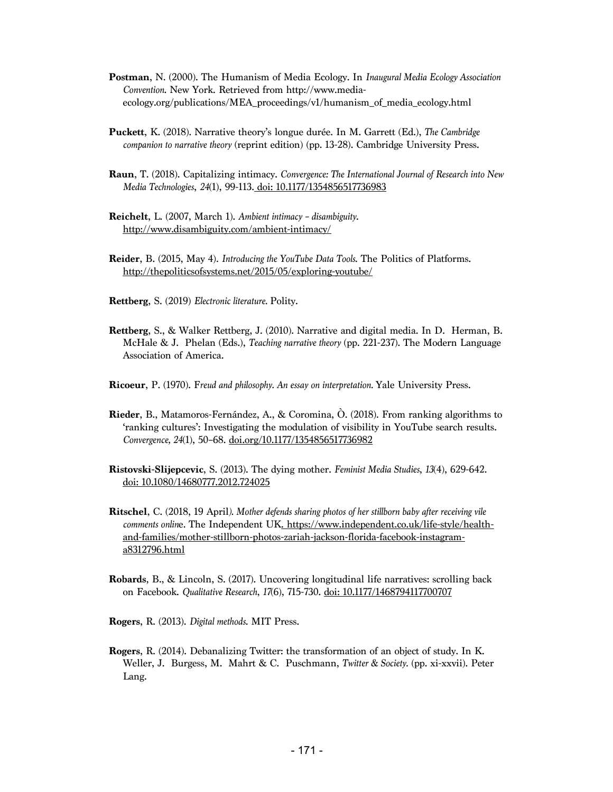- **Postman**, N. (2000). The Humanism of Media Ecology. In *Inaugural Media Ecology Association Convention*. New York. Retrieved from http://www.mediaecology.org/publications/MEA\_proceedings/v1/humanism\_of\_media\_ecology.html
- **Puckett**, K. (2018). Narrative theory's longue durée. In M. Garrett (Ed.), *The Cambridge companion to narrative theory* (reprint edition) (pp. 13-28). Cambridge University Press.
- **Raun**, T. (2018). Capitalizing intimacy. *Convergence: The International Journal of Research into New Media Technologies*, *24*(1), 99-113. doi: 10.1177/1354856517736983
- **Reichelt**, L. (2007, March 1). *Ambient intimacy – disambiguity*. http://www.disambiguity.com/ambient-intimacy/
- **Reider**, B. (2015, May 4). *Introducing the YouTube Data Tools*. The Politics of Platforms. http://thepoliticsofsystems.net/2015/05/exploring-youtube/
- **Rettberg**, S. (2019) *Electronic literature.* Polity.
- **Rettberg**, S., & Walker Rettberg, J. (2010). Narrative and digital media. In D. Herman, B. McHale & J. Phelan (Eds.), *Teaching narrative theory* (pp. 221-237). The Modern Language Association of America.
- **Ricoeur**, P. (1970). F*reud and philosophy. An essay on interpretation.* Yale University Press.
- **Rieder**, B., Matamoros-Fernández, A., & Coromina, Ò. (2018). From ranking algorithms to 'ranking cultures': Investigating the modulation of visibility in YouTube search results. *Convergence, 24*(1), 50–68. doi.org/10.1177/1354856517736982
- **Ristovski-Slijepcevic**, S. (2013). The dying mother. *Feminist Media Studies*, *13*(4), 629-642. doi: 10.1080/14680777.2012.724025
- **Ritschel**, C. (2018, 19 April*). Mother defends sharing photos of her stillborn baby after receiving vile comments online*. The Independent UK. https://www.independent.co.uk/life-style/healthand-families/mother-stillborn-photos-zariah-jackson-florida-facebook-instagrama8312796.html
- **Robards**, B., & Lincoln, S. (2017). Uncovering longitudinal life narratives: scrolling back on Facebook. *Qualitative Research*, *17*(6), 715-730. doi: 10.1177/1468794117700707
- **Rogers**, R. (2013). *Digital methods*. MIT Press.
- **Rogers**, R. (2014). Debanalizing Twitter: the transformation of an object of study. In K. Weller, J. Burgess, M. Mahrt & C. Puschmann, *Twitter & Society.* (pp. xi-xxvii). Peter Lang.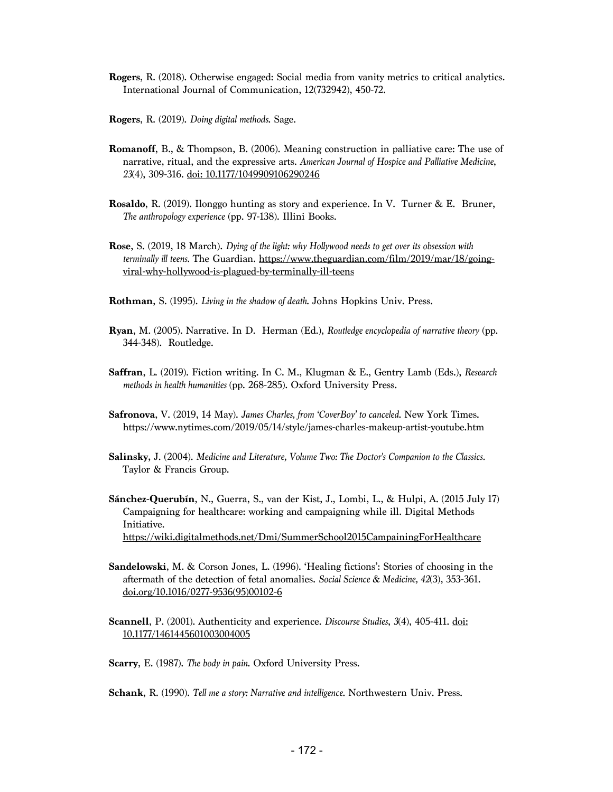- **Rogers**, R. (2018). Otherwise engaged: Social media from vanity metrics to critical analytics. International Journal of Communication, 12(732942), 450-72.
- **Rogers**, R. (2019). *Doing digital methods*. Sage.
- **Romanoff**, B., & Thompson, B. (2006). Meaning construction in palliative care: The use of narrative, ritual, and the expressive arts. *American Journal of Hospice and Palliative Medicine*, *23*(4), 309-316. doi: 10.1177/1049909106290246
- **Rosaldo**, R. (2019). Ilonggo hunting as story and experience. In V. Turner & E. Bruner, *The anthropology experience* (pp. 97-138). Illini Books.
- **Rose**, S. (2019, 18 March). *Dying of the light: why Hollywood needs to get over its obsession with terminally ill teens.* The Guardian. https://www.theguardian.com/film/2019/mar/18/goingviral-why-hollywood-is-plagued-by-terminally-ill-teens
- **Rothman**, S. (1995). *Living in the shadow of death*. Johns Hopkins Univ. Press.
- **Ryan**, M. (2005). Narrative. In D. Herman (Ed.), *Routledge encyclopedia of narrative theory* (pp. 344-348). Routledge.
- **Saffran**, L. (2019). Fiction writing. In C. M., Klugman & E., Gentry Lamb (Eds.), *Research methods in health humanities* (pp. 268-285). Oxford University Press.
- **Safronova**, V. (2019, 14 May). *James Charles, from 'CoverBoy' to canceled*. New York Times. https://www.nytimes.com/2019/05/14/style/james-charles-makeup-artist-youtube.htm
- **Salinsky,** J. (2004). *Medicine and Literature, Volume Two: The Doctor's Companion to the Classics.*  Taylor & Francis Group.
- **Sánchez-Querubín**, N., Guerra, S., van der Kist, J., Lombi, L., & Hulpi, A. (2015 July 17) Campaigning for healthcare: working and campaigning while ill. Digital Methods Initiative. https://wiki.digitalmethods.net/Dmi/SummerSchool2015CampainingForHealthcare
- **Sandelowski**, M. & Corson Jones, L. (1996). 'Healing fictions': Stories of choosing in the aftermath of the detection of fetal anomalies. *Social Science & Medicine, 42*(3), 353-361. doi.org/10.1016/0277-9536(95)00102-6
- **Scannell**, P. (2001). Authenticity and experience. *Discourse Studies*, *3*(4), 405-411. doi: 10.1177/1461445601003004005
- **Scarry**, E. (1987). *The body in pain*. Oxford University Press.

**Schank**, R. (1990). *Tell me a story: Narrative and intelligence*. Northwestern Univ. Press.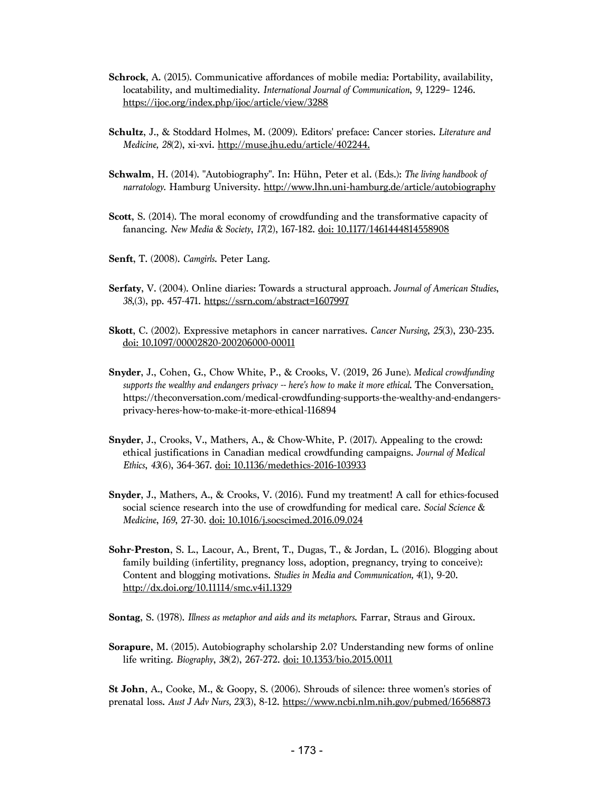- **Schrock**, A. (2015). Communicative affordances of mobile media: Portability, availability, locatability, and multimediality. *International Journal of Communication*, *9*, 1229– 1246. https://ijoc.org/index.php/ijoc/article/view/3288
- **Schultz**, J., & Stoddard Holmes, M. (2009). Editors' preface: Cancer stories. *Literature and Medicine, 28*(2), xi-xvi. http://muse.jhu.edu/article/402244.
- **Schwalm**, H. (2014). "Autobiography". In: Hühn, Peter et al. (Eds.): *The living handbook of narratology.* Hamburg University. http://www.lhn.uni-hamburg.de/article/autobiography
- **Scott**, S. (2014). The moral economy of crowdfunding and the transformative capacity of fanancing. *New Media & Society*, *17*(2), 167-182. doi: 10.1177/1461444814558908
- **Senft**, T. (2008). *Camgirls*. Peter Lang.
- **Serfaty**, V. (2004). Online diaries: Towards a structural approach*. Journal of American Studies*, *38*,(3), pp. 457-471. https://ssrn.com/abstract=1607997
- **Skott**, C. (2002). Expressive metaphors in cancer narratives. *Cancer Nursing*, *25*(3), 230-235. doi: 10.1097/00002820-200206000-00011
- **Snyder**, J., Cohen, G., Chow White, P., & Crooks, V. (2019, 26 June)*. Medical crowdfunding supports the wealthy and endangers privacy -- here's how to make it more ethical*. The Conversation. https://theconversation.com/medical-crowdfunding-supports-the-wealthy-and-endangersprivacy-heres-how-to-make-it-more-ethical-116894
- **Snyder**, J., Crooks, V., Mathers, A., & Chow-White, P. (2017). Appealing to the crowd: ethical justifications in Canadian medical crowdfunding campaigns. *Journal of Medical Ethics*, *43*(6), 364-367. doi: 10.1136/medethics-2016-103933
- **Snyder**, J., Mathers, A., & Crooks, V. (2016). Fund my treatment! A call for ethics-focused social science research into the use of crowdfunding for medical care. *Social Science & Medicine*, *169*, 27-30. doi: 10.1016/j.socscimed.2016.09.024
- **Sohr-Preston**, S. L., Lacour, A., Brent, T., Dugas, T., & Jordan, L. (2016). Blogging about family building (infertility, pregnancy loss, adoption, pregnancy, trying to conceive): Content and blogging motivations. *Studies in Media and Communication, 4*(1), 9-20. http://dx.doi.org/10.11114/smc.v4i1.1329
- **Sontag**, S. (1978). *Illness as metaphor and aids and its metaphors*. Farrar, Straus and Giroux.
- **Sorapure**, M. (2015). Autobiography scholarship 2.0? Understanding new forms of online life writing. *Biography*, *38*(2), 267-272. doi: 10.1353/bio.2015.0011

**St John**, A., Cooke, M., & Goopy, S. (2006). Shrouds of silence: three women's stories of prenatal loss. *Aust J Adv Nurs, 23*(3), 8-12. https://www.ncbi.nlm.nih.gov/pubmed/16568873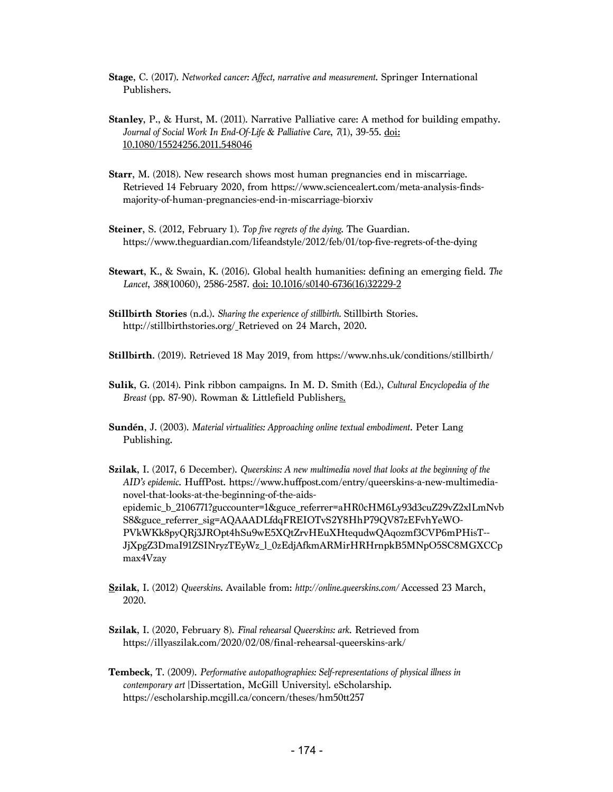**Stage**, C. (2017). *Networked cancer: Affect, narrative and measurement*. Springer International Publishers.

- **Stanley**, P., & Hurst, M. (2011). Narrative Palliative care: A method for building empathy. *Journal of Social Work In End-Of-Life & Palliative Care*, *7*(1), 39-55. doi: 10.1080/15524256.2011.548046
- **Starr**, M. (2018). New research shows most human pregnancies end in miscarriage. Retrieved 14 February 2020, from https://www.sciencealert.com/meta-analysis-findsmajority-of-human-pregnancies-end-in-miscarriage-biorxiv
- **Steiner**, S. (2012, February 1). *Top five regrets of the dying*. The Guardian. https://www.theguardian.com/lifeandstyle/2012/feb/01/top-five-regrets-of-the-dying
- **Stewart**, K., & Swain, K. (2016). Global health humanities: defining an emerging field. *The Lancet*, *388*(10060), 2586-2587. doi: 10.1016/s0140-6736(16)32229-2
- **Stillbirth Stories** (n.d.). *Sharing the experience of stillbirth.* Stillbirth Stories. http://stillbirthstories.org/ Retrieved on 24 March, 2020.

**Stillbirth**. (2019). Retrieved 18 May 2019, from https://www.nhs.uk/conditions/stillbirth/

- **Sulik**, G. (2014). Pink ribbon campaigns. In M. D. Smith (Ed.), *Cultural Encyclopedia of the Breast* (pp. 87-90). Rowman & Littlefield Publishers.
- **Sundén**, J. (2003). *Material virtualities: Approaching online textual embodiment*. Peter Lang Publishing.
- **Szilak**, I. (2017, 6 December). *Queerskins: A new multimedia novel that looks at the beginning of the AID's epidemic*. HuffPost. https://www.huffpost.com/entry/queerskins-a-new-multimedianovel-that-looks-at-the-beginning-of-the-aidsepidemic\_b\_2106771?guccounter=1&guce\_referrer=aHR0cHM6Ly93d3cuZ29vZ2xlLmNvb S8&guce\_referrer\_sig=AQAAADLfdqFREIOTvS2Y8HhP79QV87zEFvhYeWO-PVkWKk8pyQRj3JROpt4hSu9wE5XQtZrvHEuXHtequdwQAqozmf3CVP6mPHisT-- JjXpgZ3DmaI91ZSINryzTEyWz\_l\_0zEdjAfkmARMirHRHrnpkB5MNpO5SC8MGXCCp max4Vzay
- **Szilak**, I. (2012) *Queerskins*. Available from: *http://online.queerskins.com/* Accessed 23 March, 2020.
- **Szilak**, I. (2020, February 8). *Final rehearsal Queerskins: ark*. Retrieved from https://illyaszilak.com/2020/02/08/final-rehearsal-queerskins-ark/
- **Tembeck**, T. (2009). *Performative autopathographies: Self-representations of physical illness in contemporary art* [Dissertation, McGill University]. eScholarship. https://escholarship.mcgill.ca/concern/theses/hm50tt257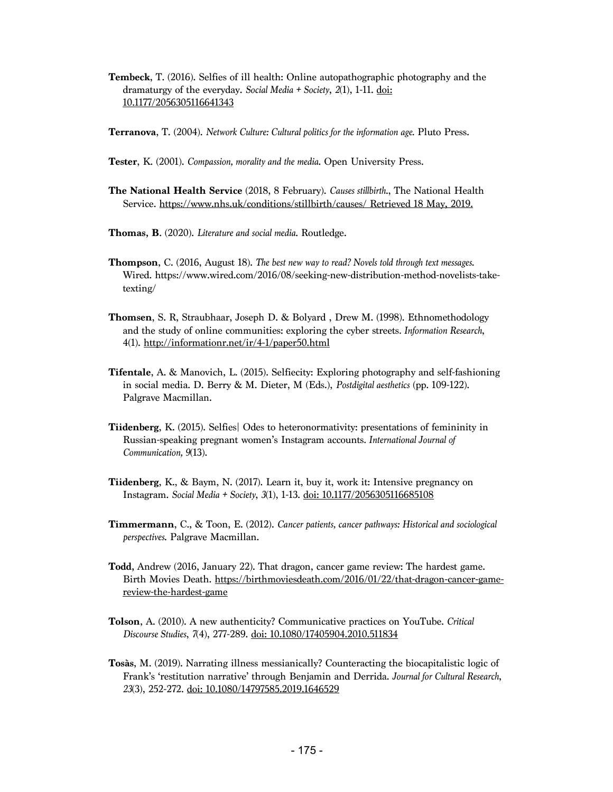**Tembeck**, T. (2016). Selfies of ill health: Online autopathographic photography and the dramaturgy of the everyday. *Social Media + Society*, *2*(1), 1-11. doi: 10.1177/2056305116641343

**Terranova**, T. (2004). *Network Culture: Cultural politics for the information age.* Pluto Press.

- **Tester**, K. (2001). *Compassion, morality and the media*. Open University Press.
- **The National Health Service** (2018, 8 February). *Causes stillbirth*., The National Health Service. https://www.nhs.uk/conditions/stillbirth/causes/ Retrieved 18 May, 2019.
- **Thomas, B**. (2020). *Literature and social media*. Routledge.
- **Thompson**, C. (2016, August 18). *The best new way to read? Novels told through text messages*. Wired. https://www.wired.com/2016/08/seeking-new-distribution-method-novelists-taketexting/
- **Thomsen**, S. R, Straubhaar, Joseph D. & Bolyard , Drew M. (1998). Ethnomethodology and the study of online communities: exploring the cyber streets*. Information Research*, 4(1). http://informationr.net/ir/4-1/paper50.html
- **Tifentale**, A. & Manovich, L. (2015). Selfiecity: Exploring photography and self-fashioning in social media. D. Berry & M. Dieter, M (Eds.), *Postdigital aesthetics* (pp. 109-122). Palgrave Macmillan.
- **Tiidenberg**, K. (2015). Selfies| Odes to heteronormativity: presentations of femininity in Russian-speaking pregnant women's Instagram accounts*. International Journal of Communication, 9*(13).
- **Tiidenberg**, K., & Baym, N. (2017). Learn it, buy it, work it: Intensive pregnancy on Instagram. *Social Media + Society*, *3*(1), 1-13. doi: 10.1177/2056305116685108
- **Timmermann**, C., & Toon, E. (2012). *Cancer patients, cancer pathways: Historical and sociological perspectives*. Palgrave Macmillan.
- **Todd,** Andrew (2016, January 22). That dragon, cancer game review: The hardest game. Birth Movies Death. https://birthmoviesdeath.com/2016/01/22/that-dragon-cancer-gamereview-the-hardest-game
- **Tolson**, A. (2010). A new authenticity? Communicative practices on YouTube. *Critical Discourse Studies*, *7*(4), 277-289. doi: 10.1080/17405904.2010.511834
- **Tosàs**, M. (2019). Narrating illness messianically? Counteracting the biocapitalistic logic of Frank's 'restitution narrative' through Benjamin and Derrida. *Journal for Cultural Research*, *23*(3), 252-272. doi: 10.1080/14797585.2019.1646529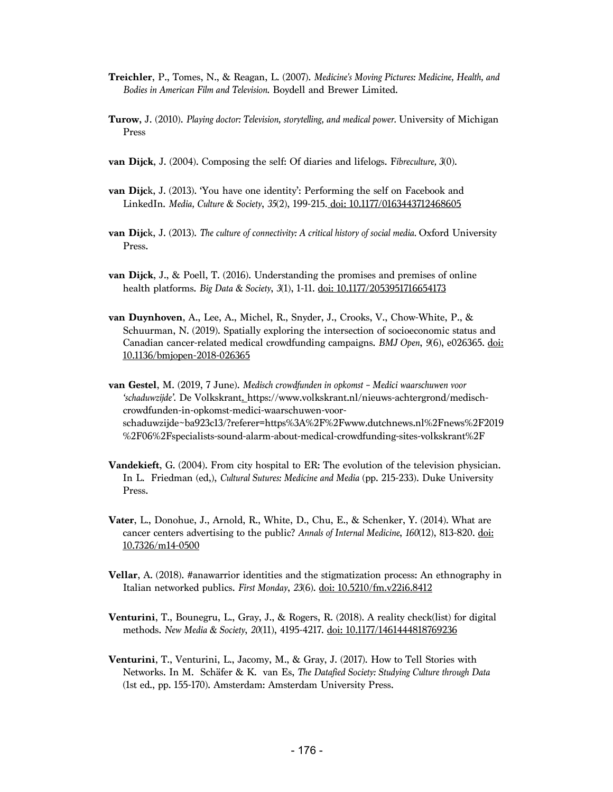- **Treichler**, P., Tomes, N., & Reagan, L. (2007). *Medicine's Moving Pictures: Medicine, Health, and Bodies in American Film and Television*. Boydell and Brewer Limited.
- **Turow,** J. (2010). *Playing doctor: Television, storytelling, and medical power.* University of Michigan Press
- **van Dijck**, J. (2004). Composing the self: Of diaries and lifelogs. F*ibreculture, 3*(0).
- **van Dijc**k, J. (2013). 'You have one identity': Performing the self on Facebook and LinkedIn. *Media, Culture & Society*, *35*(2), 199-215. doi: 10.1177/0163443712468605
- **van Dijc**k, J. (2013). *The culture of connectivity: A critical history of social media.* Oxford University Press.
- **van Dijck**, J., & Poell, T. (2016). Understanding the promises and premises of online health platforms. *Big Data & Society*, *3*(1), 1-11. doi: 10.1177/2053951716654173
- **van Duynhoven**, A., Lee, A., Michel, R., Snyder, J., Crooks, V., Chow-White, P., & Schuurman, N. (2019). Spatially exploring the intersection of socioeconomic status and Canadian cancer-related medical crowdfunding campaigns. *BMJ Open*, *9*(6), e026365. doi: 10.1136/bmjopen-2018-026365
- **van Gestel**, M. (2019, 7 June). *Medisch crowdfunden in opkomst – Medici waarschuwen voor 'schaduwzijde'.* De Volkskrant. https://www.volkskrant.nl/nieuws-achtergrond/medischcrowdfunden-in-opkomst-medici-waarschuwen-voorschaduwzijde~ba923c13/?referer=https%3A%2F%2Fwww.dutchnews.nl%2Fnews%2F2019 %2F06%2Fspecialists-sound-alarm-about-medical-crowdfunding-sites-volkskrant%2F
- **Vandekieft**, G. (2004). From city hospital to ER: The evolution of the television physician. In L. Friedman (ed,), *Cultural Sutures: Medicine and Media* (pp. 215-233). Duke University Press.
- **Vater**, L., Donohue, J., Arnold, R., White, D., Chu, E., & Schenker, Y. (2014). What are cancer centers advertising to the public? *Annals of Internal Medicine*, *160*(12), 813-820. doi: 10.7326/m14-0500
- **Vellar**, A. (2018). #anawarrior identities and the stigmatization process: An ethnography in Italian networked publics. *First Monday*, *23*(6). doi: 10.5210/fm.v22i6.8412
- **Venturini**, T., Bounegru, L., Gray, J., & Rogers, R. (2018). A reality check(list) for digital methods. *New Media & Society*, *20*(11), 4195-4217. doi: 10.1177/1461444818769236
- **Venturini**, T., Venturini, L., Jacomy, M., & Gray, J. (2017). How to Tell Stories with Networks. In M. Schäfer & K. van Es, *The Datafied Society: Studying Culture through Data* (1st ed., pp. 155-170). Amsterdam: Amsterdam University Press.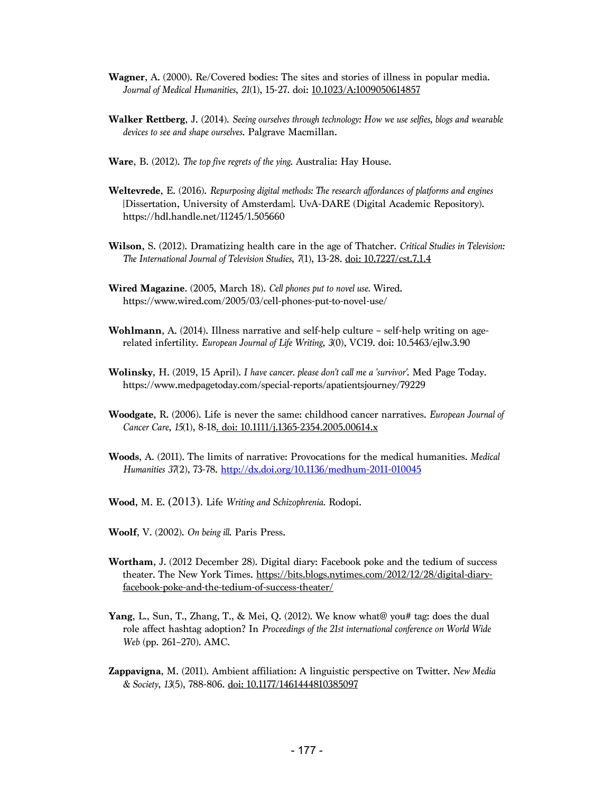- **Wagner**, A. (2000). Re/Covered bodies: The sites and stories of illness in popular media. *Journal of Medical Humanities*, *21*(1), 15-27. doi: 10.1023/A:1009050614857
- **Walker Rettberg**, J. (2014). *Seeing ourselves through technology: How we use selfies, blogs and wearable devices to see and shape ourselves*. Palgrave Macmillan.
- **Ware**, B. (2012). *The top five regrets of the ying*. Australia: Hay House.
- **Weltevrede**, E. (2016). *Repurposing digital methods: The research affordances of platforms and engines* [Dissertation, University of Amsterdam]. UvA-DARE (Digital Academic Repository). https://hdl.handle.net/11245/1.505660
- **Wilson,** S. (2012). Dramatizing health care in the age of Thatcher. *Critical Studies in Television: The International Journal of Television Studies*, *7*(1), 13-28. doi: 10.7227/cst.7.1.4
- **Wired Magazine**. (2005, March 18). *Cell phones put to novel use.* Wired. https://www.wired.com/2005/03/cell-phones-put-to-novel-use/
- **Wohlmann**, A. (2014). Illness narrative and self-help culture self-help writing on agerelated infertility. *European Journal of Life Writing*, *3*(0), VC19. doi: 10.5463/ejlw.3.90
- **Wolinsky**, H. (2019, 15 April). *I have cancer. please don't call me a 'survivor'*. Med Page Today. https://www.medpagetoday.com/special-reports/apatientsjourney/79229
- **Woodgate**, R. (2006). Life is never the same: childhood cancer narratives. *European Journal of Cancer Care*, *15*(1), 8-18. doi: 10.1111/j.1365-2354.2005.00614.x
- **Woods**, A. (2011). The limits of narrative: Provocations for the medical humanities. *Medical Humanities 37*(2), 73-78. http://dx.doi.org/10.1136/medhum-2011-010045
- **Wood,** M. E. (2013). Life *Writing and Schizophrenia.* Rodopi.
- **Woolf**, V. (2002). *On being ill*. Paris Press.
- **Wortham**, J. (2012 December 28). Digital diary: Facebook poke and the tedium of success theater. The New York Times. https://bits.blogs.nytimes.com/2012/12/28/digital-diaryfacebook-poke-and-the-tedium-of-success-theater/
- **Yang**, L., Sun, T., Zhang, T., & Mei, Q. (2012). We know what@ you# tag: does the dual role affect hashtag adoption? In *Proceedings of the 21st international conference on World Wide Web* (pp. 261–270). AMC.
- **Zappavigna**, M. (2011). Ambient affiliation: A linguistic perspective on Twitter. *New Media & Society*, *13*(5), 788-806. doi: 10.1177/1461444810385097